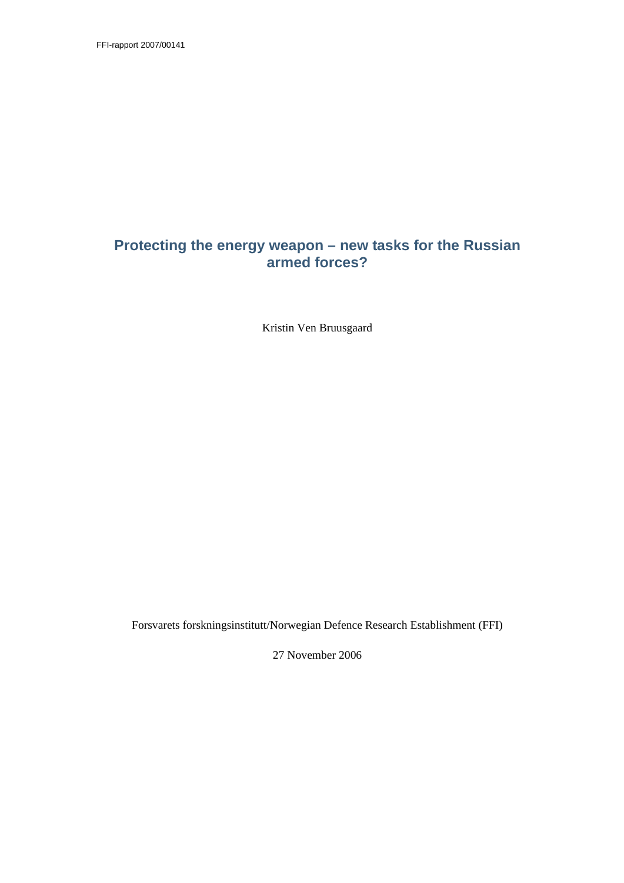FFI-rapport 2007/00141

## **Protecting the energy weapon – new tasks for the Russian armed forces?**

Kristin Ven Bruusgaard

Forsvarets forskningsinstitutt/Norwegian Defence Research Establishment (FFI)

27 November 2006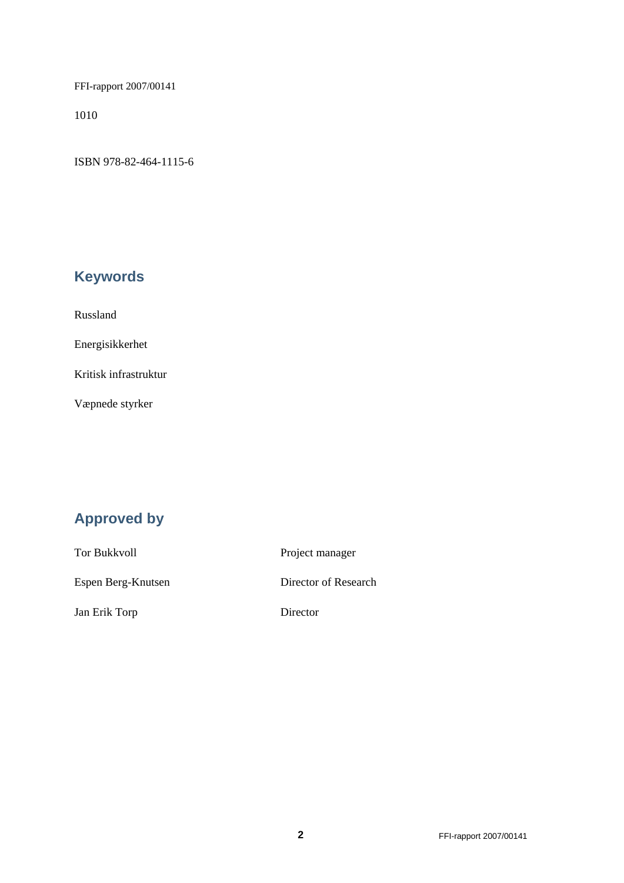FFI-rapport 2007/00141

1010

ISBN 978-82-464-1115-6

# **Keywords**

Russland

Energisikkerhet

Kritisk infrastruktur

Væpnede styrker

# **Approved by**

Tor Bukkvoll Project manager Espen Berg-Knutsen Director of Research Jan Erik Torp Director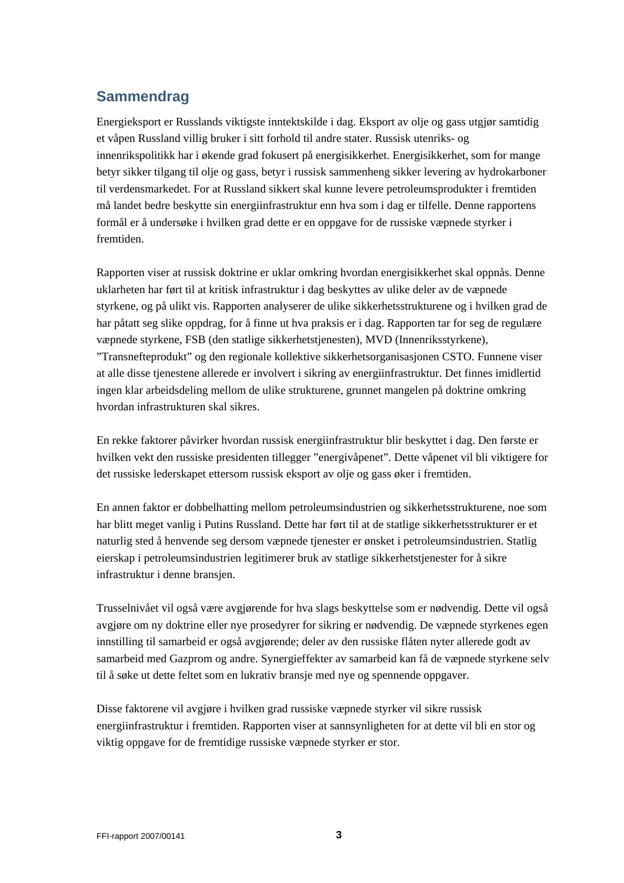# **Sammendrag**

Energieksport er Russlands viktigste inntektskilde i dag. Eksport av olje og gass utgjør samtidig et våpen Russland villig bruker i sitt forhold til andre stater. Russisk utenriks- og innenrikspolitikk har i økende grad fokusert på energisikkerhet. Energisikkerhet, som for mange betyr sikker tilgang til olje og gass, betyr i russisk sammenheng sikker levering av hydrokarboner til verdensmarkedet. For at Russland sikkert skal kunne levere petroleumsprodukter i fremtiden må landet bedre beskytte sin energiinfrastruktur enn hva som i dag er tilfelle. Denne rapportens formål er å undersøke i hvilken grad dette er en oppgave for de russiske væpnede styrker i fremtiden.

Rapporten viser at russisk doktrine er uklar omkring hvordan energisikkerhet skal oppnås. Denne uklarheten har ført til at kritisk infrastruktur i dag beskyttes av ulike deler av de væpnede styrkene, og på ulikt vis. Rapporten analyserer de ulike sikkerhetsstrukturene og i hvilken grad de har påtatt seg slike oppdrag, for å finne ut hva praksis er i dag. Rapporten tar for seg de regulære væpnede styrkene, FSB (den statlige sikkerhetstjenesten), MVD (Innenriksstyrkene), "Transnefteprodukt" og den regionale kollektive sikkerhetsorganisasjonen CSTO. Funnene viser at alle disse tjenestene allerede er involvert i sikring av energiinfrastruktur. Det finnes imidlertid ingen klar arbeidsdeling mellom de ulike strukturene, grunnet mangelen på doktrine omkring hvordan infrastrukturen skal sikres.

En rekke faktorer påvirker hvordan russisk energiinfrastruktur blir beskyttet i dag. Den første er hvilken vekt den russiske presidenten tillegger "energivåpenet". Dette våpenet vil bli viktigere for det russiske lederskapet ettersom russisk eksport av olje og gass øker i fremtiden.

En annen faktor er dobbelhatting mellom petroleumsindustrien og sikkerhetsstrukturene, noe som har blitt meget vanlig i Putins Russland. Dette har ført til at de statlige sikkerhetsstrukturer er et naturlig sted å henvende seg dersom væpnede tjenester er ønsket i petroleumsindustrien. Statlig eierskap i petroleumsindustrien legitimerer bruk av statlige sikkerhetstjenester for å sikre infrastruktur i denne bransjen.

Trusselnivået vil også være avgjørende for hva slags beskyttelse som er nødvendig. Dette vil også avgjøre om ny doktrine eller nye prosedyrer for sikring er nødvendig. De væpnede styrkenes egen innstilling til samarbeid er også avgjørende; deler av den russiske flåten nyter allerede godt av samarbeid med Gazprom og andre. Synergieffekter av samarbeid kan få de væpnede styrkene selv til å søke ut dette feltet som en lukrativ bransje med nye og spennende oppgaver.

Disse faktorene vil avgjøre i hvilken grad russiske væpnede styrker vil sikre russisk energiinfrastruktur i fremtiden. Rapporten viser at sannsynligheten for at dette vil bli en stor og viktig oppgave for de fremtidige russiske væpnede styrker er stor.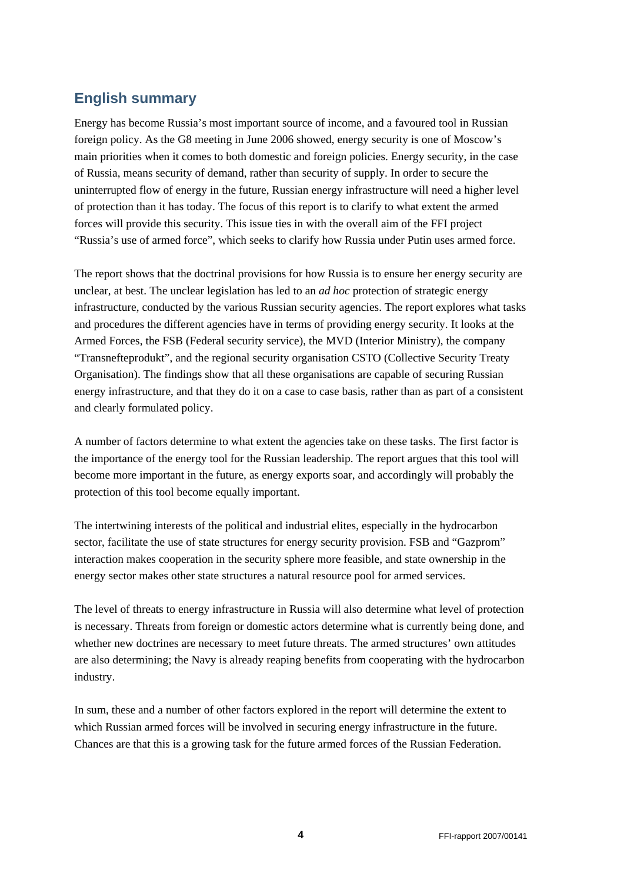## **English summary**

Energy has become Russia's most important source of income, and a favoured tool in Russian foreign policy. As the G8 meeting in June 2006 showed, energy security is one of Moscow's main priorities when it comes to both domestic and foreign policies. Energy security, in the case of Russia, means security of demand, rather than security of supply. In order to secure the uninterrupted flow of energy in the future, Russian energy infrastructure will need a higher level of protection than it has today. The focus of this report is to clarify to what extent the armed forces will provide this security. This issue ties in with the overall aim of the FFI project "Russia's use of armed force", which seeks to clarify how Russia under Putin uses armed force.

The report shows that the doctrinal provisions for how Russia is to ensure her energy security are unclear, at best. The unclear legislation has led to an *ad hoc* protection of strategic energy infrastructure, conducted by the various Russian security agencies. The report explores what tasks and procedures the different agencies have in terms of providing energy security. It looks at the Armed Forces, the FSB (Federal security service), the MVD (Interior Ministry), the company "Transnefteprodukt", and the regional security organisation CSTO (Collective Security Treaty Organisation). The findings show that all these organisations are capable of securing Russian energy infrastructure, and that they do it on a case to case basis, rather than as part of a consistent and clearly formulated policy.

A number of factors determine to what extent the agencies take on these tasks. The first factor is the importance of the energy tool for the Russian leadership. The report argues that this tool will become more important in the future, as energy exports soar, and accordingly will probably the protection of this tool become equally important.

The intertwining interests of the political and industrial elites, especially in the hydrocarbon sector, facilitate the use of state structures for energy security provision. FSB and "Gazprom" interaction makes cooperation in the security sphere more feasible, and state ownership in the energy sector makes other state structures a natural resource pool for armed services.

The level of threats to energy infrastructure in Russia will also determine what level of protection is necessary. Threats from foreign or domestic actors determine what is currently being done, and whether new doctrines are necessary to meet future threats. The armed structures' own attitudes are also determining; the Navy is already reaping benefits from cooperating with the hydrocarbon industry.

In sum, these and a number of other factors explored in the report will determine the extent to which Russian armed forces will be involved in securing energy infrastructure in the future. Chances are that this is a growing task for the future armed forces of the Russian Federation.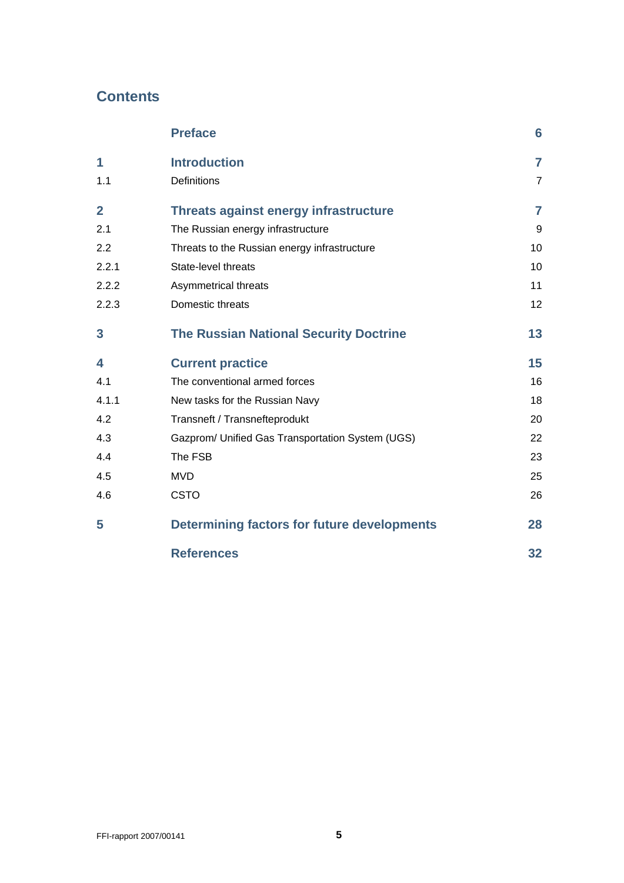# **Contents**

|                         | <b>Preface</b>                                     | 6              |
|-------------------------|----------------------------------------------------|----------------|
| 1                       | <b>Introduction</b>                                | $\overline{7}$ |
| 1.1                     | <b>Definitions</b>                                 | $\overline{7}$ |
| $\overline{\mathbf{2}}$ | Threats against energy infrastructure              | 7              |
| 2.1                     | The Russian energy infrastructure                  | 9              |
| 2.2                     | Threats to the Russian energy infrastructure       | 10             |
| 2.2.1                   | State-level threats                                | 10             |
| 2.2.2                   | Asymmetrical threats                               | 11             |
| 2.2.3                   | Domestic threats                                   | 12             |
| 3                       | <b>The Russian National Security Doctrine</b>      | 13             |
| 4                       | <b>Current practice</b>                            | 15             |
| 4.1                     | The conventional armed forces                      | 16             |
| 4.1.1                   | New tasks for the Russian Navy                     | 18             |
| 4.2                     | Transneft / Transnefteprodukt                      | 20             |
| 4.3                     | Gazprom/ Unified Gas Transportation System (UGS)   | 22             |
| 4.4                     | The FSB                                            | 23             |
| 4.5                     | <b>MVD</b>                                         | 25             |
| 4.6                     | <b>CSTO</b>                                        | 26             |
| 5                       | <b>Determining factors for future developments</b> | 28             |
|                         | <b>References</b>                                  | 32             |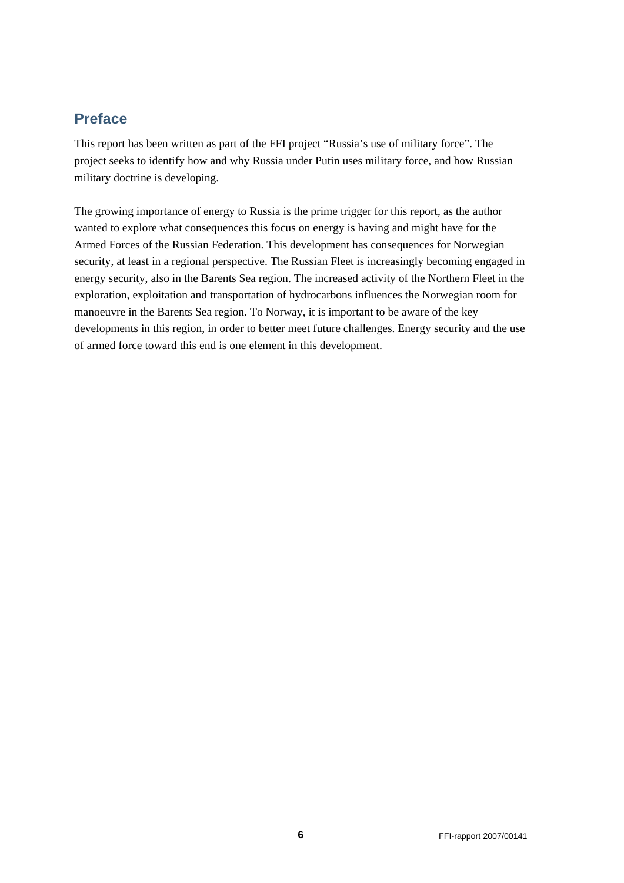## <span id="page-5-0"></span>**Preface**

This report has been written as part of the FFI project "Russia's use of military force". The project seeks to identify how and why Russia under Putin uses military force, and how Russian military doctrine is developing.

The growing importance of energy to Russia is the prime trigger for this report, as the author wanted to explore what consequences this focus on energy is having and might have for the Armed Forces of the Russian Federation. This development has consequences for Norwegian security, at least in a regional perspective. The Russian Fleet is increasingly becoming engaged in energy security, also in the Barents Sea region. The increased activity of the Northern Fleet in the exploration, exploitation and transportation of hydrocarbons influences the Norwegian room for manoeuvre in the Barents Sea region. To Norway, it is important to be aware of the key developments in this region, in order to better meet future challenges. Energy security and the use of armed force toward this end is one element in this development.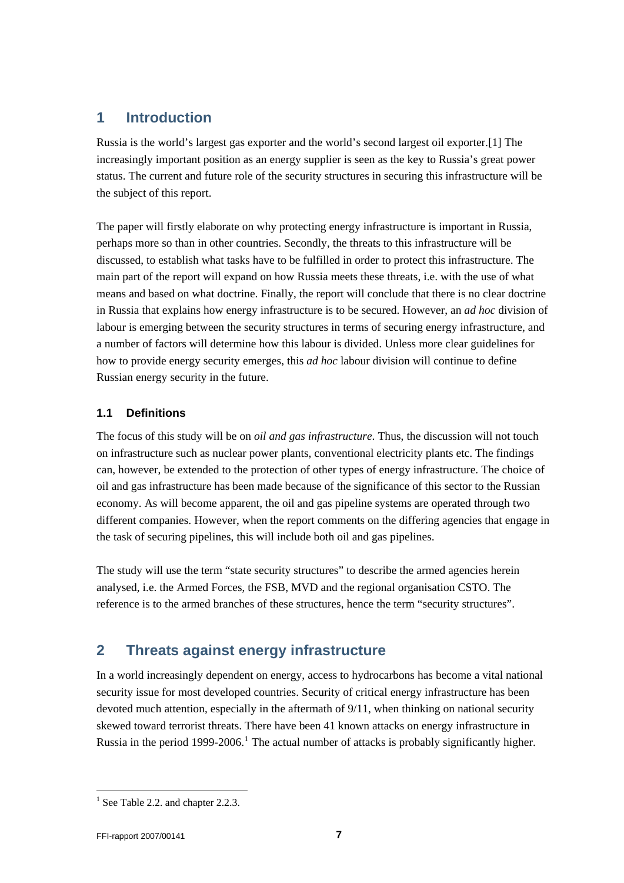## <span id="page-6-0"></span>**1 Introduction**

Russia is the world's largest gas exporter and the world's second largest oil exporter.[1] The increasingly important position as an energy supplier is seen as the key to Russia's great power status. The current and future role of the security structures in securing this infrastructure will be the subject of this report.

The paper will firstly elaborate on why protecting energy infrastructure is important in Russia, perhaps more so than in other countries. Secondly, the threats to this infrastructure will be discussed, to establish what tasks have to be fulfilled in order to protect this infrastructure. The main part of the report will expand on how Russia meets these threats, i.e. with the use of what means and based on what doctrine. Finally, the report will conclude that there is no clear doctrine in Russia that explains how energy infrastructure is to be secured. However, an *ad hoc* division of labour is emerging between the security structures in terms of securing energy infrastructure, and a number of factors will determine how this labour is divided. Unless more clear guidelines for how to provide energy security emerges, this *ad hoc* labour division will continue to define Russian energy security in the future.

## **1.1 Definitions**

The focus of this study will be on *oil and gas infrastructure*. Thus, the discussion will not touch on infrastructure such as nuclear power plants, conventional electricity plants etc. The findings can, however, be extended to the protection of other types of energy infrastructure. The choice of oil and gas infrastructure has been made because of the significance of this sector to the Russian economy. As will become apparent, the oil and gas pipeline systems are operated through two different companies. However, when the report comments on the differing agencies that engage in the task of securing pipelines, this will include both oil and gas pipelines.

The study will use the term "state security structures" to describe the armed agencies herein analysed, i.e. the Armed Forces, the FSB, MVD and the regional organisation CSTO. The reference is to the armed branches of these structures, hence the term "security structures".

# **2 Threats against energy infrastructure**

In a world increasingly dependent on energy, access to hydrocarbons has become a vital national security issue for most developed countries. Security of critical energy infrastructure has been devoted much attention, especially in the aftermath of 9/11, when thinking on national security skewed toward terrorist threats. There have been 41 known attacks on energy infrastructure in Russia in the period [1](#page-6-1)999-2006.<sup>1</sup> The actual number of attacks is probably significantly higher.

l

<span id="page-6-1"></span> $<sup>1</sup>$  See Table 2.2. and chapter 2.2.3.</sup>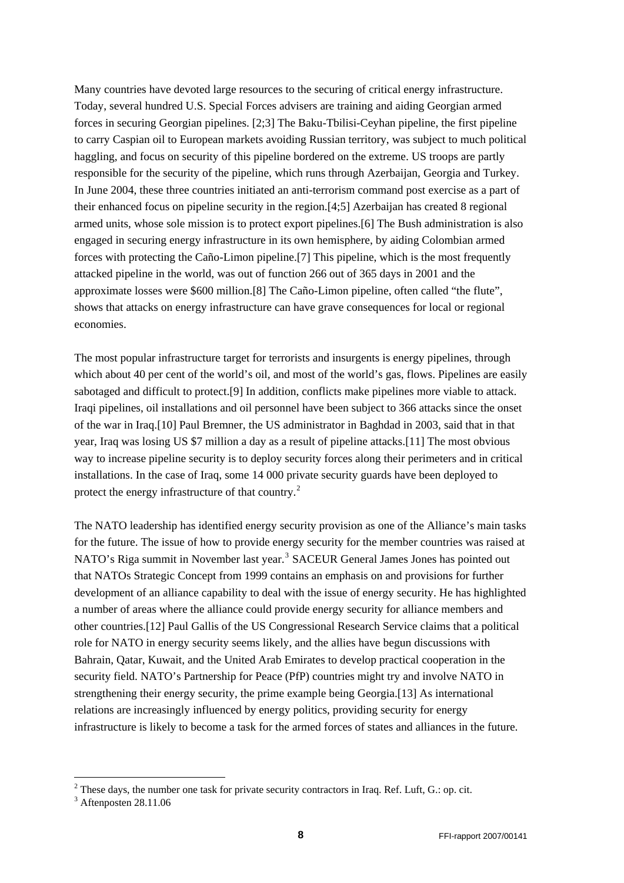Many countries have devoted large resources to the securing of critical energy infrastructure. Today, several hundred U.S. Special Forces advisers are training and aiding Georgian armed forces in securing Georgian pipelines. [2;3] The Baku-Tbilisi-Ceyhan pipeline, the first pipeline to carry Caspian oil to European markets avoiding Russian territory, was subject to much political haggling, and focus on security of this pipeline bordered on the extreme. US troops are partly responsible for the security of the pipeline, which runs through Azerbaijan, Georgia and Turkey. In June 2004, these three countries initiated an anti-terrorism command post exercise as a part of their enhanced focus on pipeline security in the region.[4;5] Azerbaijan has created 8 regional armed units, whose sole mission is to protect export pipelines.[6] The Bush administration is also engaged in securing energy infrastructure in its own hemisphere, by aiding Colombian armed forces with protecting the Caño-Limon pipeline.[7] This pipeline, which is the most frequently attacked pipeline in the world, was out of function 266 out of 365 days in 2001 and the approximate losses were \$600 million.[8] The Caño-Limon pipeline, often called "the flute", shows that attacks on energy infrastructure can have grave consequences for local or regional economies.

The most popular infrastructure target for terrorists and insurgents is energy pipelines, through which about 40 per cent of the world's oil, and most of the world's gas, flows. Pipelines are easily sabotaged and difficult to protect.[9] In addition, conflicts make pipelines more viable to attack. Iraqi pipelines, oil installations and oil personnel have been subject to 366 attacks since the onset of the war in Iraq.[10] Paul Bremner, the US administrator in Baghdad in 2003, said that in that year, Iraq was losing US \$7 million a day as a result of pipeline attacks.[11] The most obvious way to increase pipeline security is to deploy security forces along their perimeters and in critical installations. In the case of Iraq, some 14 000 private security guards have been deployed to protect the energy infrastructure of that country.<sup>[2](#page-7-0)</sup>

The NATO leadership has identified energy security provision as one of the Alliance's main tasks for the future. The issue of how to provide energy security for the member countries was raised at NATO's Riga summit in November last year.<sup>[3](#page-7-1)</sup> SACEUR General James Jones has pointed out that NATOs Strategic Concept from 1999 contains an emphasis on and provisions for further development of an alliance capability to deal with the issue of energy security. He has highlighted a number of areas where the alliance could provide energy security for alliance members and other countries.[12] Paul Gallis of the US Congressional Research Service claims that a political role for NATO in energy security seems likely, and the allies have begun discussions with Bahrain, Qatar, Kuwait, and the United Arab Emirates to develop practical cooperation in the security field. NATO's Partnership for Peace (PfP) countries might try and involve NATO in strengthening their energy security, the prime example being Georgia.[13] As international relations are increasingly influenced by energy politics, providing security for energy infrastructure is likely to become a task for the armed forces of states and alliances in the future.

-

<span id="page-7-0"></span><sup>&</sup>lt;sup>2</sup> These days, the number one task for private security contractors in Iraq. Ref. Luft, G.: op. cit. <sup>3</sup> A france to 28 11.06

<span id="page-7-1"></span> $3$  Aftenposten 28.11.06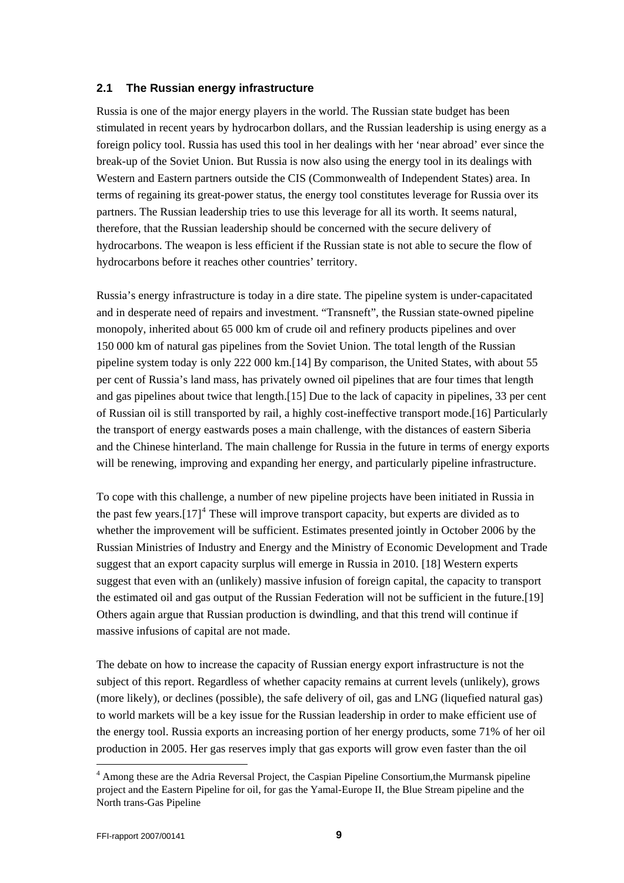#### <span id="page-8-0"></span>**2.1 The Russian energy infrastructure**

Russia is one of the major energy players in the world. The Russian state budget has been stimulated in recent years by hydrocarbon dollars, and the Russian leadership is using energy as a foreign policy tool. Russia has used this tool in her dealings with her 'near abroad' ever since the break-up of the Soviet Union. But Russia is now also using the energy tool in its dealings with Western and Eastern partners outside the CIS (Commonwealth of Independent States) area. In terms of regaining its great-power status, the energy tool constitutes leverage for Russia over its partners. The Russian leadership tries to use this leverage for all its worth. It seems natural, therefore, that the Russian leadership should be concerned with the secure delivery of hydrocarbons. The weapon is less efficient if the Russian state is not able to secure the flow of hydrocarbons before it reaches other countries' territory.

Russia's energy infrastructure is today in a dire state. The pipeline system is under-capacitated and in desperate need of repairs and investment. "Transneft", the Russian state-owned pipeline monopoly, inherited about 65 000 km of crude oil and refinery products pipelines and over 150 000 km of natural gas pipelines from the Soviet Union. The total length of the Russian pipeline system today is only 222 000 km.[14] By comparison, the United States, with about 55 per cent of Russia's land mass, has privately owned oil pipelines that are four times that length and gas pipelines about twice that length.[15] Due to the lack of capacity in pipelines, 33 per cent of Russian oil is still transported by rail, a highly cost-ineffective transport mode.[16] Particularly the transport of energy eastwards poses a main challenge, with the distances of eastern Siberia and the Chinese hinterland. The main challenge for Russia in the future in terms of energy exports will be renewing, improving and expanding her energy, and particularly pipeline infrastructure.

To cope with this challenge, a number of new pipeline projects have been initiated in Russia in the past few years. $[17]^4$  $[17]^4$  These will improve transport capacity, but experts are divided as to whether the improvement will be sufficient. Estimates presented jointly in October 2006 by the Russian Ministries of Industry and Energy and the Ministry of Economic Development and Trade suggest that an export capacity surplus will emerge in Russia in 2010. [18] Western experts suggest that even with an (unlikely) massive infusion of foreign capital, the capacity to transport the estimated oil and gas output of the Russian Federation will not be sufficient in the future.[19] Others again argue that Russian production is dwindling, and that this trend will continue if massive infusions of capital are not made.

The debate on how to increase the capacity of Russian energy export infrastructure is not the subject of this report. Regardless of whether capacity remains at current levels (unlikely), grows (more likely), or declines (possible), the safe delivery of oil, gas and LNG (liquefied natural gas) to world markets will be a key issue for the Russian leadership in order to make efficient use of the energy tool. Russia exports an increasing portion of her energy products, some 71% of her oil production in 2005. Her gas reserves imply that gas exports will grow even faster than the oil

l

<span id="page-8-1"></span><sup>&</sup>lt;sup>4</sup> Among these are the Adria Reversal Project, the Caspian Pipeline Consortium, the Murmansk pipeline project and the Eastern Pipeline for oil, for gas the Yamal-Europe II, the Blue Stream pipeline and the North trans-Gas Pipeline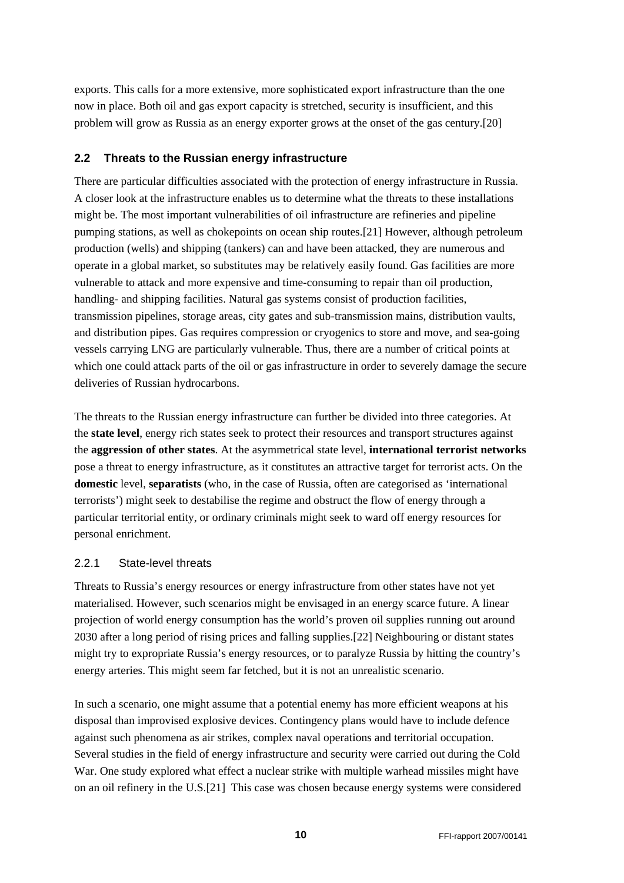<span id="page-9-0"></span>exports. This calls for a more extensive, more sophisticated export infrastructure than the one now in place. Both oil and gas export capacity is stretched, security is insufficient, and this problem will grow as Russia as an energy exporter grows at the onset of the gas century.[20]

#### **2.2 Threats to the Russian energy infrastructure**

There are particular difficulties associated with the protection of energy infrastructure in Russia. A closer look at the infrastructure enables us to determine what the threats to these installations might be. The most important vulnerabilities of oil infrastructure are refineries and pipeline pumping stations, as well as chokepoints on ocean ship routes.[21] However, although petroleum production (wells) and shipping (tankers) can and have been attacked, they are numerous and operate in a global market, so substitutes may be relatively easily found. Gas facilities are more vulnerable to attack and more expensive and time-consuming to repair than oil production, handling- and shipping facilities. Natural gas systems consist of production facilities, transmission pipelines, storage areas, city gates and sub-transmission mains, distribution vaults, and distribution pipes. Gas requires compression or cryogenics to store and move, and sea-going vessels carrying LNG are particularly vulnerable. Thus, there are a number of critical points at which one could attack parts of the oil or gas infrastructure in order to severely damage the secure deliveries of Russian hydrocarbons.

The threats to the Russian energy infrastructure can further be divided into three categories. At the **state level**, energy rich states seek to protect their resources and transport structures against the **aggression of other states**. At the asymmetrical state level, **international terrorist networks** pose a threat to energy infrastructure, as it constitutes an attractive target for terrorist acts. On the **domestic** level, **separatists** (who, in the case of Russia, often are categorised as 'international terrorists') might seek to destabilise the regime and obstruct the flow of energy through a particular territorial entity, or ordinary criminals might seek to ward off energy resources for personal enrichment.

#### 2.2.1 State-level threats

Threats to Russia's energy resources or energy infrastructure from other states have not yet materialised. However, such scenarios might be envisaged in an energy scarce future. A linear projection of world energy consumption has the world's proven oil supplies running out around 2030 after a long period of rising prices and falling supplies.[22] Neighbouring or distant states might try to expropriate Russia's energy resources, or to paralyze Russia by hitting the country's energy arteries. This might seem far fetched, but it is not an unrealistic scenario.

In such a scenario, one might assume that a potential enemy has more efficient weapons at his disposal than improvised explosive devices. Contingency plans would have to include defence against such phenomena as air strikes, complex naval operations and territorial occupation. Several studies in the field of energy infrastructure and security were carried out during the Cold War. One study explored what effect a nuclear strike with multiple warhead missiles might have on an oil refinery in the U.S.[21] This case was chosen because energy systems were considered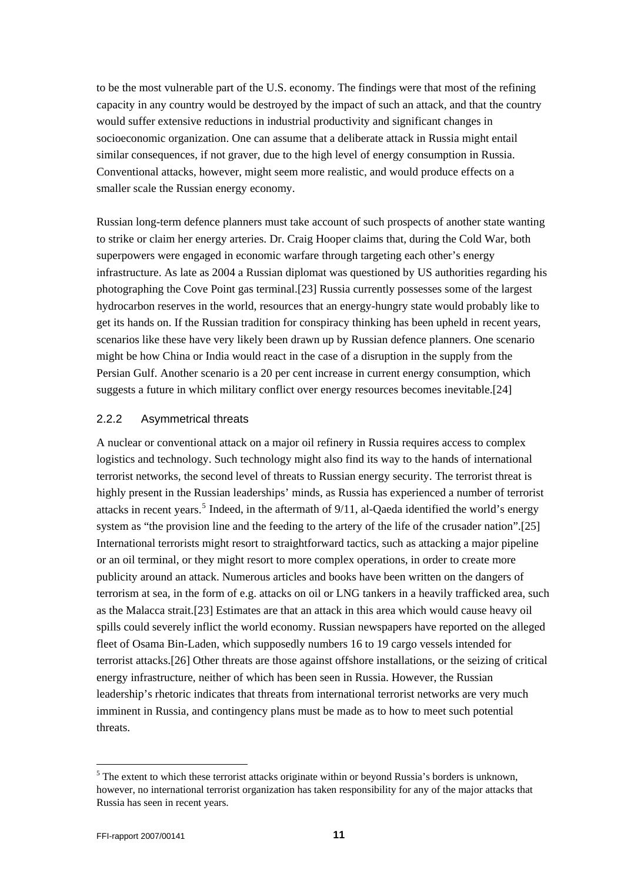<span id="page-10-0"></span>to be the most vulnerable part of the U.S. economy. The findings were that most of the refining capacity in any country would be destroyed by the impact of such an attack, and that the country would suffer extensive reductions in industrial productivity and significant changes in socioeconomic organization. One can assume that a deliberate attack in Russia might entail similar consequences, if not graver, due to the high level of energy consumption in Russia. Conventional attacks, however, might seem more realistic, and would produce effects on a smaller scale the Russian energy economy.

Russian long-term defence planners must take account of such prospects of another state wanting to strike or claim her energy arteries. Dr. Craig Hooper claims that, during the Cold War, both superpowers were engaged in economic warfare through targeting each other's energy infrastructure. As late as 2004 a Russian diplomat was questioned by US authorities regarding his photographing the Cove Point gas terminal.[23] Russia currently possesses some of the largest hydrocarbon reserves in the world, resources that an energy-hungry state would probably like to get its hands on. If the Russian tradition for conspiracy thinking has been upheld in recent years, scenarios like these have very likely been drawn up by Russian defence planners. One scenario might be how China or India would react in the case of a disruption in the supply from the Persian Gulf. Another scenario is a 20 per cent increase in current energy consumption, which suggests a future in which military conflict over energy resources becomes inevitable.[24]

#### 2.2.2 Asymmetrical threats

A nuclear or conventional attack on a major oil refinery in Russia requires access to complex logistics and technology. Such technology might also find its way to the hands of international terrorist networks, the second level of threats to Russian energy security. The terrorist threat is highly present in the Russian leaderships' minds, as Russia has experienced a number of terrorist attacks in recent years.<sup>[5](#page-10-1)</sup> Indeed, in the aftermath of  $9/11$ , al-Qaeda identified the world's energy system as "the provision line and the feeding to the artery of the life of the crusader nation".[25] International terrorists might resort to straightforward tactics, such as attacking a major pipeline or an oil terminal, or they might resort to more complex operations, in order to create more publicity around an attack. Numerous articles and books have been written on the dangers of terrorism at sea, in the form of e.g. attacks on oil or LNG tankers in a heavily trafficked area, such as the Malacca strait.[23] Estimates are that an attack in this area which would cause heavy oil spills could severely inflict the world economy. Russian newspapers have reported on the alleged fleet of Osama Bin-Laden, which supposedly numbers 16 to 19 cargo vessels intended for terrorist attacks.[26] Other threats are those against offshore installations, or the seizing of critical energy infrastructure, neither of which has been seen in Russia. However, the Russian leadership's rhetoric indicates that threats from international terrorist networks are very much imminent in Russia, and contingency plans must be made as to how to meet such potential threats.

l

<span id="page-10-1"></span> $<sup>5</sup>$  The extent to which these terrorist attacks originate within or beyond Russia's borders is unknown,</sup> however, no international terrorist organization has taken responsibility for any of the major attacks that Russia has seen in recent years.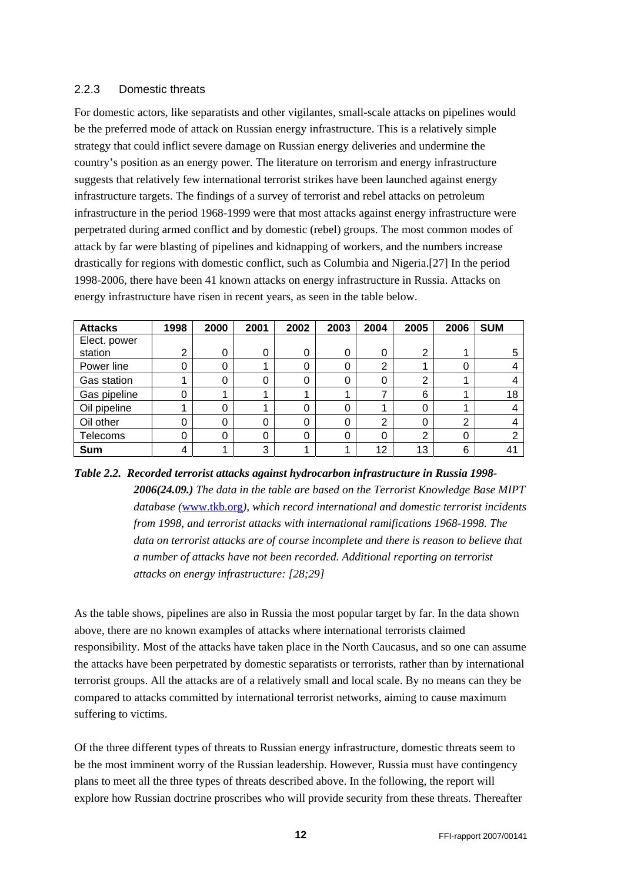#### <span id="page-11-0"></span>2.2.3 Domestic threats

For domestic actors, like separatists and other vigilantes, small-scale attacks on pipelines would be the preferred mode of attack on Russian energy infrastructure. This is a relatively simple strategy that could inflict severe damage on Russian energy deliveries and undermine the country's position as an energy power. The literature on terrorism and energy infrastructure suggests that relatively few international terrorist strikes have been launched against energy infrastructure targets. The findings of a survey of terrorist and rebel attacks on petroleum infrastructure in the period 1968-1999 were that most attacks against energy infrastructure were perpetrated during armed conflict and by domestic (rebel) groups. The most common modes of attack by far were blasting of pipelines and kidnapping of workers, and the numbers increase drastically for regions with domestic conflict, such as Columbia and Nigeria.[27] In the period 1998-2006, there have been 41 known attacks on energy infrastructure in Russia. Attacks on energy infrastructure have risen in recent years, as seen in the table below.

| <b>Attacks</b> | 1998           | 2000 | 2001 | 2002 | 2003     | 2004 | 2005           | 2006 | <b>SUM</b>     |
|----------------|----------------|------|------|------|----------|------|----------------|------|----------------|
| Elect. power   |                |      |      |      |          |      |                |      |                |
| station        | $\overline{2}$ | 0    | 0    | 0    | 0        | 0    | $\overline{2}$ |      | 5              |
| Power line     | 0              | 0    |      | 0    | 0        | າ    |                |      |                |
| Gas station    |                | 0    | 0    | 0    |          |      | 2              |      |                |
| Gas pipeline   | 0              |      |      |      |          |      | 6              |      | 18             |
| Oil pipeline   |                | 0    |      | 0    | O        |      | 0              |      |                |
| Oil other      | 0              | 0    | 0    | 0    | $\Omega$ | າ    | 0              | ⌒    |                |
| Telecoms       | 0              | 0    | 0    | 0    | 0        | 0    | $\overline{2}$ | 0    | ⌒              |
| Sum            | 4              |      | 3    |      |          | 12   | 13             | 6    | 4 <sup>1</sup> |

*Table 2.2. Recorded terrorist attacks against hydrocarbon infrastructure in Russia 1998- 2006(24.09.) The data in the table are based on the Terrorist Knowledge Base MIPT database (*[www.tkb.org](http://www.tkb.org/)*), which record international and domestic terrorist incidents from 1998, and terrorist attacks with international ramifications 1968-1998. The data on terrorist attacks are of course incomplete and there is reason to believe that a number of attacks have not been recorded. Additional reporting on terrorist attacks on energy infrastructure: [28;29]* 

As the table shows, pipelines are also in Russia the most popular target by far. In the data shown above, there are no known examples of attacks where international terrorists claimed responsibility. Most of the attacks have taken place in the North Caucasus, and so one can assume the attacks have been perpetrated by domestic separatists or terrorists, rather than by international terrorist groups. All the attacks are of a relatively small and local scale. By no means can they be compared to attacks committed by international terrorist networks, aiming to cause maximum suffering to victims.

Of the three different types of threats to Russian energy infrastructure, domestic threats seem to be the most imminent worry of the Russian leadership. However, Russia must have contingency plans to meet all the three types of threats described above. In the following, the report will explore how Russian doctrine proscribes who will provide security from these threats. Thereafter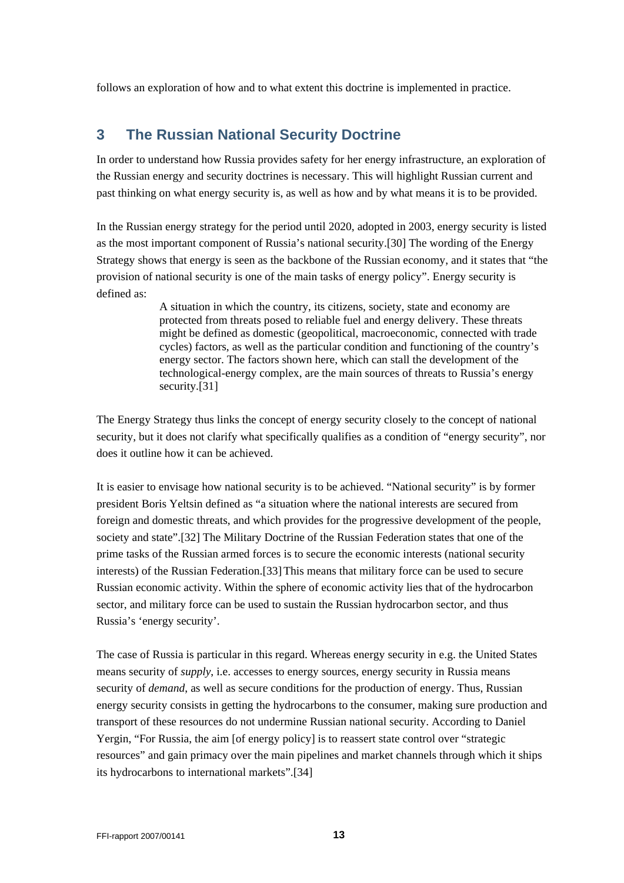<span id="page-12-0"></span>follows an exploration of how and to what extent this doctrine is implemented in practice.

## **3 The Russian National Security Doctrine**

In order to understand how Russia provides safety for her energy infrastructure, an exploration of the Russian energy and security doctrines is necessary. This will highlight Russian current and past thinking on what energy security is, as well as how and by what means it is to be provided.

In the Russian energy strategy for the period until 2020, adopted in 2003, energy security is listed as the most important component of Russia's national security.[30] The wording of the Energy Strategy shows that energy is seen as the backbone of the Russian economy, and it states that "the provision of national security is one of the main tasks of energy policy". Energy security is defined as:

> A situation in which the country, its citizens, society, state and economy are protected from threats posed to reliable fuel and energy delivery. These threats might be defined as domestic (geopolitical, macroeconomic, connected with trade cycles) factors, as well as the particular condition and functioning of the country's energy sector. The factors shown here, which can stall the development of the technological-energy complex, are the main sources of threats to Russia's energy security.[31]

The Energy Strategy thus links the concept of energy security closely to the concept of national security, but it does not clarify what specifically qualifies as a condition of "energy security", nor does it outline how it can be achieved.

It is easier to envisage how national security is to be achieved. "National security" is by former president Boris Yeltsin defined as "a situation where the national interests are secured from foreign and domestic threats, and which provides for the progressive development of the people, society and state".[32] The Military Doctrine of the Russian Federation states that one of the prime tasks of the Russian armed forces is to secure the economic interests (national security interests) of the Russian Federation.[33]This means that military force can be used to secure Russian economic activity. Within the sphere of economic activity lies that of the hydrocarbon sector, and military force can be used to sustain the Russian hydrocarbon sector, and thus Russia's 'energy security'.

The case of Russia is particular in this regard. Whereas energy security in e.g. the United States means security of *supply*, i.e. accesses to energy sources, energy security in Russia means security of *demand*, as well as secure conditions for the production of energy. Thus, Russian energy security consists in getting the hydrocarbons to the consumer, making sure production and transport of these resources do not undermine Russian national security. According to Daniel Yergin, "For Russia, the aim [of energy policy] is to reassert state control over "strategic resources" and gain primacy over the main pipelines and market channels through which it ships its hydrocarbons to international markets".[34]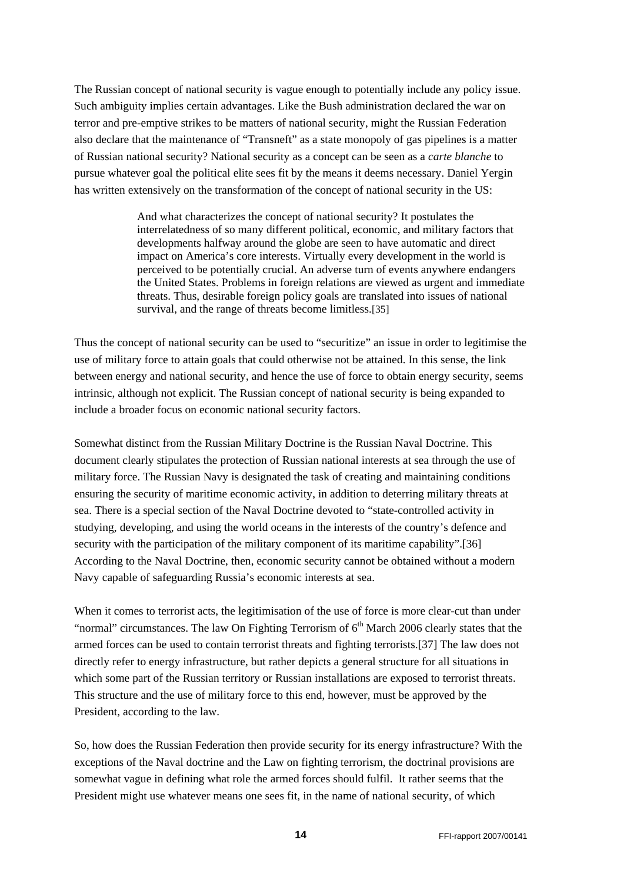The Russian concept of national security is vague enough to potentially include any policy issue. Such ambiguity implies certain advantages. Like the Bush administration declared the war on terror and pre-emptive strikes to be matters of national security, might the Russian Federation also declare that the maintenance of "Transneft" as a state monopoly of gas pipelines is a matter of Russian national security? National security as a concept can be seen as a *carte blanche* to pursue whatever goal the political elite sees fit by the means it deems necessary. Daniel Yergin has written extensively on the transformation of the concept of national security in the US:

> And what characterizes the concept of national security? It postulates the interrelatedness of so many different political, economic, and military factors that developments halfway around the globe are seen to have automatic and direct impact on America's core interests. Virtually every development in the world is perceived to be potentially crucial. An adverse turn of events anywhere endangers the United States. Problems in foreign relations are viewed as urgent and immediate threats. Thus, desirable foreign policy goals are translated into issues of national survival, and the range of threats become limitless.[35]

Thus the concept of national security can be used to "securitize" an issue in order to legitimise the use of military force to attain goals that could otherwise not be attained. In this sense, the link between energy and national security, and hence the use of force to obtain energy security, seems intrinsic, although not explicit. The Russian concept of national security is being expanded to include a broader focus on economic national security factors.

Somewhat distinct from the Russian Military Doctrine is the Russian Naval Doctrine. This document clearly stipulates the protection of Russian national interests at sea through the use of military force. The Russian Navy is designated the task of creating and maintaining conditions ensuring the security of maritime economic activity, in addition to deterring military threats at sea. There is a special section of the Naval Doctrine devoted to "state-controlled activity in studying, developing, and using the world oceans in the interests of the country's defence and security with the participation of the military component of its maritime capability".[36] According to the Naval Doctrine, then, economic security cannot be obtained without a modern Navy capable of safeguarding Russia's economic interests at sea.

When it comes to terrorist acts, the legitimisation of the use of force is more clear-cut than under "normal" circumstances. The law On Fighting Terrorism of  $6<sup>th</sup>$  March 2006 clearly states that the armed forces can be used to contain terrorist threats and fighting terrorists.[37] The law does not directly refer to energy infrastructure, but rather depicts a general structure for all situations in which some part of the Russian territory or Russian installations are exposed to terrorist threats. This structure and the use of military force to this end, however, must be approved by the President, according to the law.

So, how does the Russian Federation then provide security for its energy infrastructure? With the exceptions of the Naval doctrine and the Law on fighting terrorism, the doctrinal provisions are somewhat vague in defining what role the armed forces should fulfil. It rather seems that the President might use whatever means one sees fit, in the name of national security, of which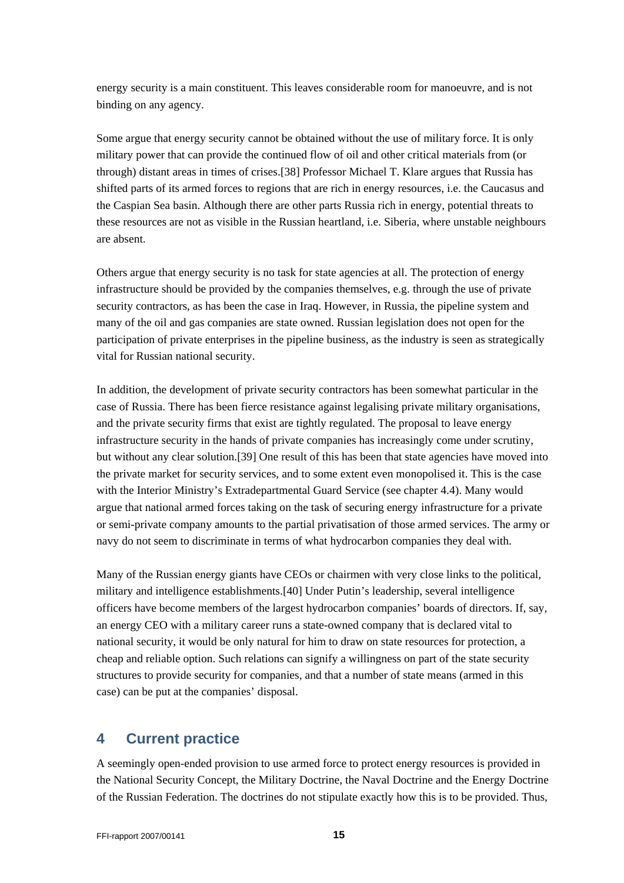<span id="page-14-0"></span>energy security is a main constituent. This leaves considerable room for manoeuvre, and is not binding on any agency.

Some argue that energy security cannot be obtained without the use of military force. It is only military power that can provide the continued flow of oil and other critical materials from (or through) distant areas in times of crises.[38] Professor Michael T. Klare argues that Russia has shifted parts of its armed forces to regions that are rich in energy resources, i.e. the Caucasus and the Caspian Sea basin. Although there are other parts Russia rich in energy, potential threats to these resources are not as visible in the Russian heartland, i.e. Siberia, where unstable neighbours are absent.

Others argue that energy security is no task for state agencies at all. The protection of energy infrastructure should be provided by the companies themselves, e.g. through the use of private security contractors, as has been the case in Iraq. However, in Russia, the pipeline system and many of the oil and gas companies are state owned. Russian legislation does not open for the participation of private enterprises in the pipeline business, as the industry is seen as strategically vital for Russian national security.

In addition, the development of private security contractors has been somewhat particular in the case of Russia. There has been fierce resistance against legalising private military organisations, and the private security firms that exist are tightly regulated. The proposal to leave energy infrastructure security in the hands of private companies has increasingly come under scrutiny, but without any clear solution.[39] One result of this has been that state agencies have moved into the private market for security services, and to some extent even monopolised it. This is the case with the Interior Ministry's Extradepartmental Guard Service (see chapter 4.4). Many would argue that national armed forces taking on the task of securing energy infrastructure for a private or semi-private company amounts to the partial privatisation of those armed services. The army or navy do not seem to discriminate in terms of what hydrocarbon companies they deal with.

Many of the Russian energy giants have CEOs or chairmen with very close links to the political, military and intelligence establishments.[40] Under Putin's leadership, several intelligence officers have become members of the largest hydrocarbon companies' boards of directors. If, say, an energy CEO with a military career runs a state-owned company that is declared vital to national security, it would be only natural for him to draw on state resources for protection, a cheap and reliable option. Such relations can signify a willingness on part of the state security structures to provide security for companies, and that a number of state means (armed in this case) can be put at the companies' disposal.

## **4 Current practice**

A seemingly open-ended provision to use armed force to protect energy resources is provided in the National Security Concept, the Military Doctrine, the Naval Doctrine and the Energy Doctrine of the Russian Federation. The doctrines do not stipulate exactly how this is to be provided. Thus,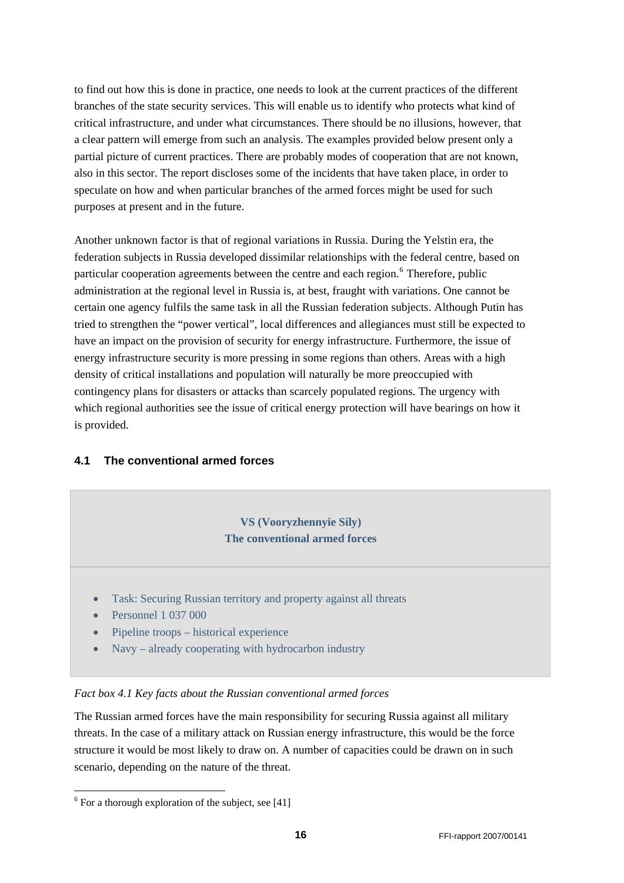<span id="page-15-0"></span>to find out how this is done in practice, one needs to look at the current practices of the different branches of the state security services. This will enable us to identify who protects what kind of critical infrastructure, and under what circumstances. There should be no illusions, however, that a clear pattern will emerge from such an analysis. The examples provided below present only a partial picture of current practices. There are probably modes of cooperation that are not known, also in this sector. The report discloses some of the incidents that have taken place, in order to speculate on how and when particular branches of the armed forces might be used for such purposes at present and in the future.

Another unknown factor is that of regional variations in Russia. During the Yelstin era, the federation subjects in Russia developed dissimilar relationships with the federal centre, based on particular cooperation agreements between the centre and each region.<sup>[6](#page-15-1)</sup> Therefore, public administration at the regional level in Russia is, at best, fraught with variations. One cannot be certain one agency fulfils the same task in all the Russian federation subjects. Although Putin has tried to strengthen the "power vertical", local differences and allegiances must still be expected to have an impact on the provision of security for energy infrastructure. Furthermore, the issue of energy infrastructure security is more pressing in some regions than others. Areas with a high density of critical installations and population will naturally be more preoccupied with contingency plans for disasters or attacks than scarcely populated regions. The urgency with which regional authorities see the issue of critical energy protection will have bearings on how it is provided.

#### **4.1 The conventional armed forces**

## **VS (Vooryzhennyie Sily) The conventional armed forces**

- Task: Securing Russian territory and property against all threats
- Personnel 1 037 000
- Pipeline troops historical experience
- Navy already cooperating with hydrocarbon industry

#### *Fact box 4.1 Key facts about the Russian conventional armed forces*

The Russian armed forces have the main responsibility for securing Russia against all military threats. In the case of a military attack on Russian energy infrastructure, this would be the force structure it would be most likely to draw on. A number of capacities could be drawn on in such scenario, depending on the nature of the threat.

-

<span id="page-15-1"></span> $6$  For a thorough exploration of the subject, see [41]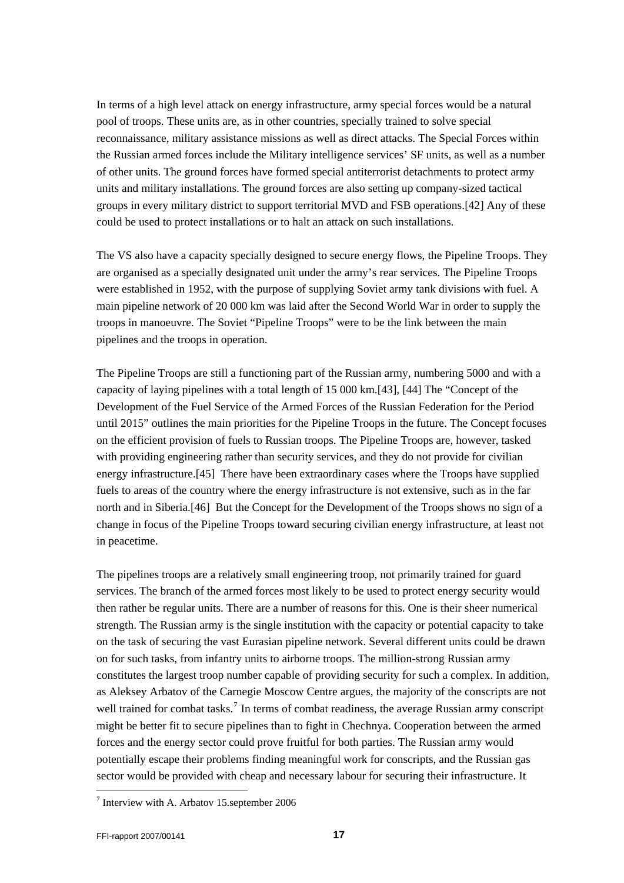In terms of a high level attack on energy infrastructure, army special forces would be a natural pool of troops. These units are, as in other countries, specially trained to solve special reconnaissance, military assistance missions as well as direct attacks. The Special Forces within the Russian armed forces include the Military intelligence services' SF units, as well as a number of other units. The ground forces have formed special antiterrorist detachments to protect army units and military installations. The ground forces are also setting up company-sized tactical groups in every military district to support territorial MVD and FSB operations.[42] Any of these could be used to protect installations or to halt an attack on such installations.

The VS also have a capacity specially designed to secure energy flows, the Pipeline Troops. They are organised as a specially designated unit under the army's rear services. The Pipeline Troops were established in 1952, with the purpose of supplying Soviet army tank divisions with fuel. A main pipeline network of 20 000 km was laid after the Second World War in order to supply the troops in manoeuvre. The Soviet "Pipeline Troops" were to be the link between the main pipelines and the troops in operation.

The Pipeline Troops are still a functioning part of the Russian army, numbering 5000 and with a capacity of laying pipelines with a total length of 15 000 km.[43], [44] The "Concept of the Development of the Fuel Service of the Armed Forces of the Russian Federation for the Period until 2015" outlines the main priorities for the Pipeline Troops in the future. The Concept focuses on the efficient provision of fuels to Russian troops. The Pipeline Troops are, however, tasked with providing engineering rather than security services, and they do not provide for civilian energy infrastructure.[45] There have been extraordinary cases where the Troops have supplied fuels to areas of the country where the energy infrastructure is not extensive, such as in the far north and in Siberia.[46] But the Concept for the Development of the Troops shows no sign of a change in focus of the Pipeline Troops toward securing civilian energy infrastructure, at least not in peacetime.

The pipelines troops are a relatively small engineering troop, not primarily trained for guard services. The branch of the armed forces most likely to be used to protect energy security would then rather be regular units. There are a number of reasons for this. One is their sheer numerical strength. The Russian army is the single institution with the capacity or potential capacity to take on the task of securing the vast Eurasian pipeline network. Several different units could be drawn on for such tasks, from infantry units to airborne troops. The million-strong Russian army constitutes the largest troop number capable of providing security for such a complex. In addition, as Aleksey Arbatov of the Carnegie Moscow Centre argues, the majority of the conscripts are not well trained for combat tasks.<sup>[7](#page-16-0)</sup> In terms of combat readiness, the average Russian army conscript might be better fit to secure pipelines than to fight in Chechnya. Cooperation between the armed forces and the energy sector could prove fruitful for both parties. The Russian army would potentially escape their problems finding meaningful work for conscripts, and the Russian gas sector would be provided with cheap and necessary labour for securing their infrastructure. It

l

<span id="page-16-0"></span><sup>&</sup>lt;sup>7</sup> Interview with A. Arbatov 15.september 2006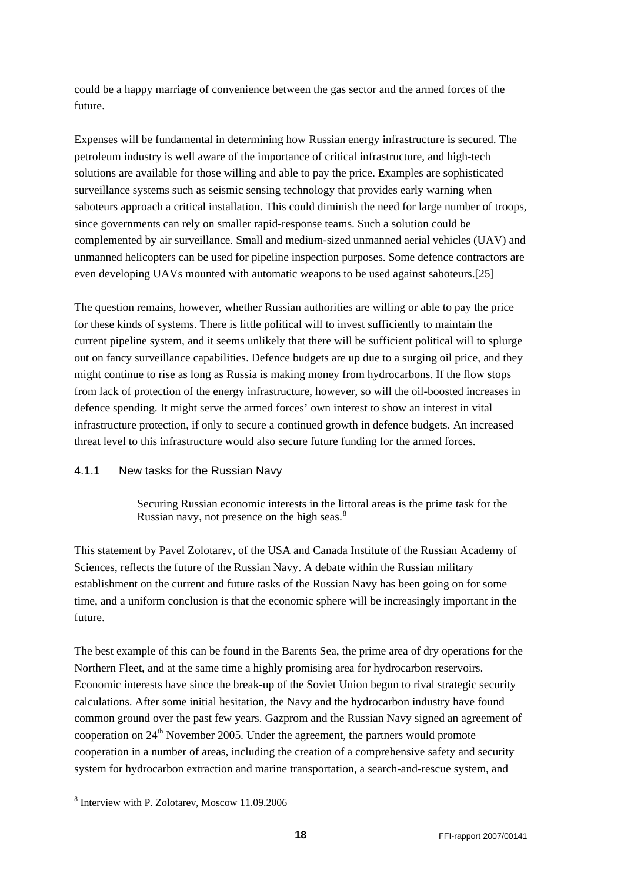<span id="page-17-0"></span>could be a happy marriage of convenience between the gas sector and the armed forces of the future.

Expenses will be fundamental in determining how Russian energy infrastructure is secured. The petroleum industry is well aware of the importance of critical infrastructure, and high-tech solutions are available for those willing and able to pay the price. Examples are sophisticated surveillance systems such as seismic sensing technology that provides early warning when saboteurs approach a critical installation. This could diminish the need for large number of troops, since governments can rely on smaller rapid-response teams. Such a solution could be complemented by air surveillance. Small and medium-sized unmanned aerial vehicles (UAV) and unmanned helicopters can be used for pipeline inspection purposes. Some defence contractors are even developing UAVs mounted with automatic weapons to be used against saboteurs.[25]

The question remains, however, whether Russian authorities are willing or able to pay the price for these kinds of systems. There is little political will to invest sufficiently to maintain the current pipeline system, and it seems unlikely that there will be sufficient political will to splurge out on fancy surveillance capabilities. Defence budgets are up due to a surging oil price, and they might continue to rise as long as Russia is making money from hydrocarbons. If the flow stops from lack of protection of the energy infrastructure, however, so will the oil-boosted increases in defence spending. It might serve the armed forces' own interest to show an interest in vital infrastructure protection, if only to secure a continued growth in defence budgets. An increased threat level to this infrastructure would also secure future funding for the armed forces.

#### 4.1.1 New tasks for the Russian Navy

Securing Russian economic interests in the littoral areas is the prime task for the Russian navy, not presence on the high seas. $8$ 

This statement by Pavel Zolotarev, of the USA and Canada Institute of the Russian Academy of Sciences, reflects the future of the Russian Navy. A debate within the Russian military establishment on the current and future tasks of the Russian Navy has been going on for some time, and a uniform conclusion is that the economic sphere will be increasingly important in the future.

The best example of this can be found in the Barents Sea, the prime area of dry operations for the Northern Fleet, and at the same time a highly promising area for hydrocarbon reservoirs. Economic interests have since the break-up of the Soviet Union begun to rival strategic security calculations. After some initial hesitation, the Navy and the hydrocarbon industry have found common ground over the past few years. Gazprom and the Russian Navy signed an agreement of cooperation on  $24<sup>th</sup>$  November 2005. Under the agreement, the partners would promote cooperation in a number of areas, including the creation of a comprehensive safety and security system for hydrocarbon extraction and marine transportation, a search-and-rescue system, and

-

<span id="page-17-1"></span><sup>8</sup> Interview with P. Zolotarev, Moscow 11.09.2006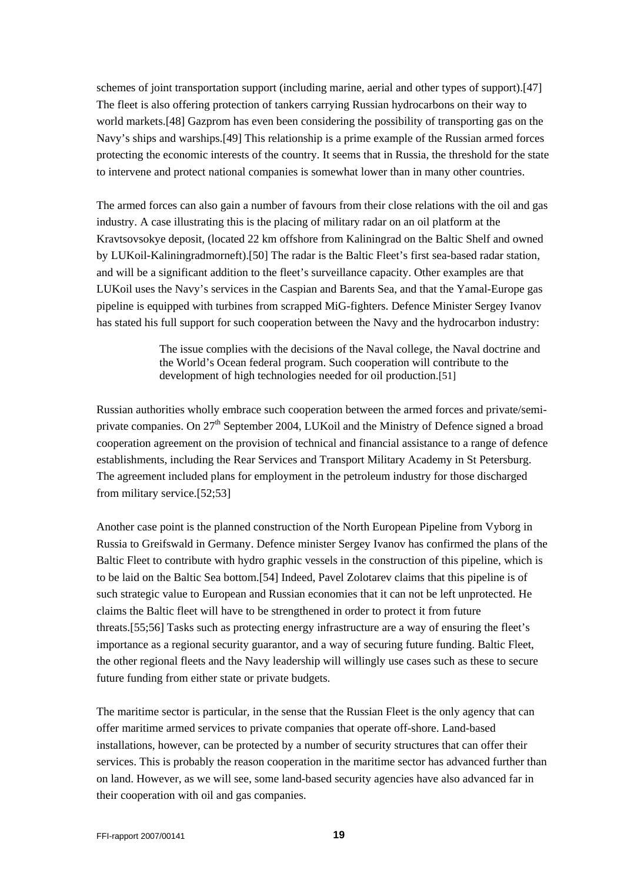schemes of joint transportation support (including marine, aerial and other types of support).[47] The fleet is also offering protection of tankers carrying Russian hydrocarbons on their way to world markets.[48] Gazprom has even been considering the possibility of transporting gas on the Navy's ships and warships.[49] This relationship is a prime example of the Russian armed forces protecting the economic interests of the country. It seems that in Russia, the threshold for the state to intervene and protect national companies is somewhat lower than in many other countries.

The armed forces can also gain a number of favours from their close relations with the oil and gas industry. A case illustrating this is the placing of military radar on an oil platform at the Kravtsovsokye deposit, (located 22 km offshore from Kaliningrad on the Baltic Shelf and owned by LUKoil-Kaliningradmorneft).[50] The radar is the Baltic Fleet's first sea-based radar station, and will be a significant addition to the fleet's surveillance capacity. Other examples are that LUKoil uses the Navy's services in the Caspian and Barents Sea, and that the Yamal-Europe gas pipeline is equipped with turbines from scrapped MiG-fighters. Defence Minister Sergey Ivanov has stated his full support for such cooperation between the Navy and the hydrocarbon industry:

> The issue complies with the decisions of the Naval college, the Naval doctrine and the World's Ocean federal program. Such cooperation will contribute to the development of high technologies needed for oil production.[51]

Russian authorities wholly embrace such cooperation between the armed forces and private/semiprivate companies. On  $27<sup>th</sup>$  September 2004, LUKoil and the Ministry of Defence signed a broad cooperation agreement on the provision of technical and financial assistance to a range of defence establishments, including the Rear Services and Transport Military Academy in St Petersburg. The agreement included plans for employment in the petroleum industry for those discharged from military service.[52;53]

Another case point is the planned construction of the North European Pipeline from Vyborg in Russia to Greifswald in Germany. Defence minister Sergey Ivanov has confirmed the plans of the Baltic Fleet to contribute with hydro graphic vessels in the construction of this pipeline, which is to be laid on the Baltic Sea bottom.[54] Indeed, Pavel Zolotarev claims that this pipeline is of such strategic value to European and Russian economies that it can not be left unprotected. He claims the Baltic fleet will have to be strengthened in order to protect it from future threats.[55;56] Tasks such as protecting energy infrastructure are a way of ensuring the fleet's importance as a regional security guarantor, and a way of securing future funding. Baltic Fleet, the other regional fleets and the Navy leadership will willingly use cases such as these to secure future funding from either state or private budgets.

The maritime sector is particular, in the sense that the Russian Fleet is the only agency that can offer maritime armed services to private companies that operate off-shore. Land-based installations, however, can be protected by a number of security structures that can offer their services. This is probably the reason cooperation in the maritime sector has advanced further than on land. However, as we will see, some land-based security agencies have also advanced far in their cooperation with oil and gas companies.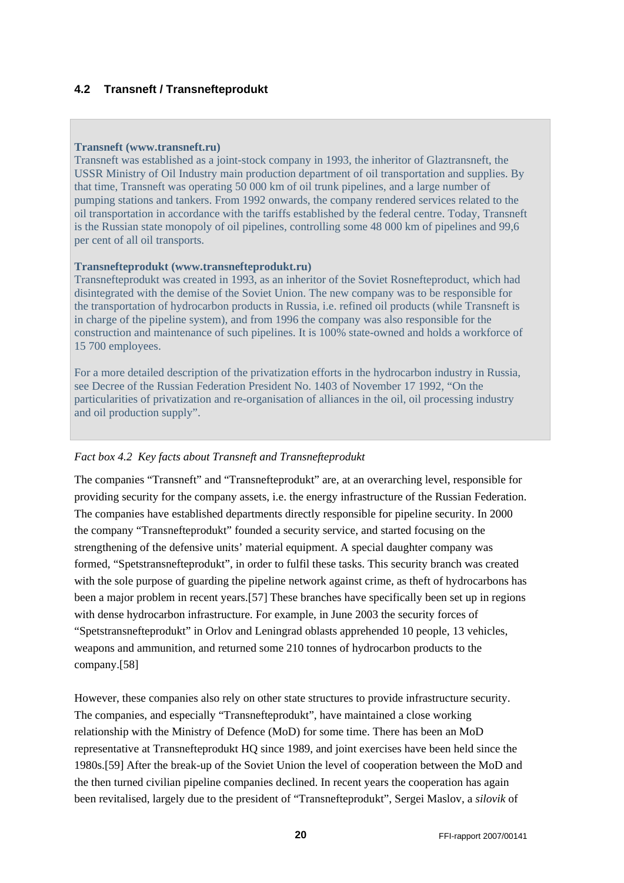## <span id="page-19-0"></span>**4.2 Transneft / Transnefteprodukt**

#### **Transneft ([www.transneft.ru\)](http://www.transneft.ru/)**

Transneft was established as a joint-stock company in 1993, the inheritor of Glaztransneft, the USSR Ministry of Oil Industry main production department of oil transportation and supplies. By that time, Transneft was operating 50 000 km of oil trunk pipelines, and a large number of pumping stations and tankers. From 1992 onwards, the company rendered services related to the oil transportation in accordance with the tariffs established by the federal centre. Today, Transneft is the Russian state monopoly of oil pipelines, controlling some 48 000 km of pipelines and 99,6 per cent of all oil transports.

#### **Transnefteprodukt [\(www.transnefteprodukt.ru\)](http://www.transnefteprodukt.ru/)**

Transnefteprodukt was created in 1993, as an inheritor of the Soviet Rosnefteproduct, which had disintegrated with the demise of the Soviet Union. The new company was to be responsible for the transportation of hydrocarbon products in Russia, i.e. refined oil products (while Transneft is in charge of the pipeline system), and from 1996 the company was also responsible for the construction and maintenance of such pipelines. It is 100% state-owned and holds a workforce of 15 700 employees.

For a more detailed description of the privatization efforts in the hydrocarbon industry in Russia, see Decree of the Russian Federation President No. 1403 of November 17 1992, "On the particularities of privatization and re-organisation of alliances in the oil, oil processing industry and oil production supply".

#### *Fact box 4.2 Key facts about Transneft and Transnefteprodukt*

The companies "Transneft" and "Transnefteprodukt" are, at an overarching level, responsible for providing security for the company assets, i.e. the energy infrastructure of the Russian Federation. The companies have established departments directly responsible for pipeline security. In 2000 the company "Transnefteprodukt" founded a security service, and started focusing on the strengthening of the defensive units' material equipment. A special daughter company was formed, "Spetstransnefteprodukt", in order to fulfil these tasks. This security branch was created with the sole purpose of guarding the pipeline network against crime, as theft of hydrocarbons has been a major problem in recent years.[57] These branches have specifically been set up in regions with dense hydrocarbon infrastructure. For example, in June 2003 the security forces of "Spetstransnefteprodukt" in Orlov and Leningrad oblasts apprehended 10 people, 13 vehicles, weapons and ammunition, and returned some 210 tonnes of hydrocarbon products to the company.[58]

However, these companies also rely on other state structures to provide infrastructure security. The companies, and especially "Transnefteprodukt", have maintained a close working relationship with the Ministry of Defence (MoD) for some time. There has been an MoD representative at Transnefteprodukt HQ since 1989, and joint exercises have been held since the 1980s.[59] After the break-up of the Soviet Union the level of cooperation between the MoD and the then turned civilian pipeline companies declined. In recent years the cooperation has again been revitalised, largely due to the president of "Transnefteprodukt", Sergei Maslov, a *silovik* of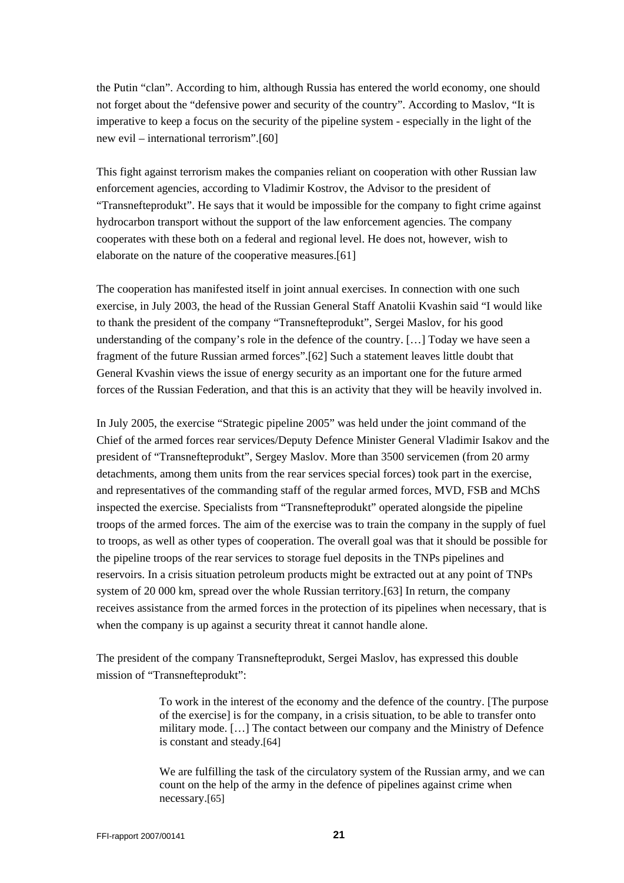the Putin "clan". According to him, although Russia has entered the world economy, one should not forget about the "defensive power and security of the country". According to Maslov, "It is imperative to keep a focus on the security of the pipeline system - especially in the light of the new evil – international terrorism".[60]

This fight against terrorism makes the companies reliant on cooperation with other Russian law enforcement agencies, according to Vladimir Kostrov, the Advisor to the president of "Transnefteprodukt". He says that it would be impossible for the company to fight crime against hydrocarbon transport without the support of the law enforcement agencies. The company cooperates with these both on a federal and regional level. He does not, however, wish to elaborate on the nature of the cooperative measures.[61]

The cooperation has manifested itself in joint annual exercises. In connection with one such exercise, in July 2003, the head of the Russian General Staff Anatolii Kvashin said "I would like to thank the president of the company "Transnefteprodukt", Sergei Maslov, for his good understanding of the company's role in the defence of the country. […] Today we have seen a fragment of the future Russian armed forces".[62] Such a statement leaves little doubt that General Kvashin views the issue of energy security as an important one for the future armed forces of the Russian Federation, and that this is an activity that they will be heavily involved in.

In July 2005, the exercise "Strategic pipeline 2005" was held under the joint command of the Chief of the armed forces rear services/Deputy Defence Minister General Vladimir Isakov and the president of "Transnefteprodukt", Sergey Maslov. More than 3500 servicemen (from 20 army detachments, among them units from the rear services special forces) took part in the exercise, and representatives of the commanding staff of the regular armed forces, MVD, FSB and MChS inspected the exercise. Specialists from "Transnefteprodukt" operated alongside the pipeline troops of the armed forces. The aim of the exercise was to train the company in the supply of fuel to troops, as well as other types of cooperation. The overall goal was that it should be possible for the pipeline troops of the rear services to storage fuel deposits in the TNPs pipelines and reservoirs. In a crisis situation petroleum products might be extracted out at any point of TNPs system of 20 000 km, spread over the whole Russian territory.[63] In return, the company receives assistance from the armed forces in the protection of its pipelines when necessary, that is when the company is up against a security threat it cannot handle alone.

The president of the company Transnefteprodukt, Sergei Maslov, has expressed this double mission of "Transnefteprodukt":

> To work in the interest of the economy and the defence of the country. [The purpose of the exercise] is for the company, in a crisis situation, to be able to transfer onto military mode. […] The contact between our company and the Ministry of Defence is constant and steady.[64]

> We are fulfilling the task of the circulatory system of the Russian army, and we can count on the help of the army in the defence of pipelines against crime when necessary.[65]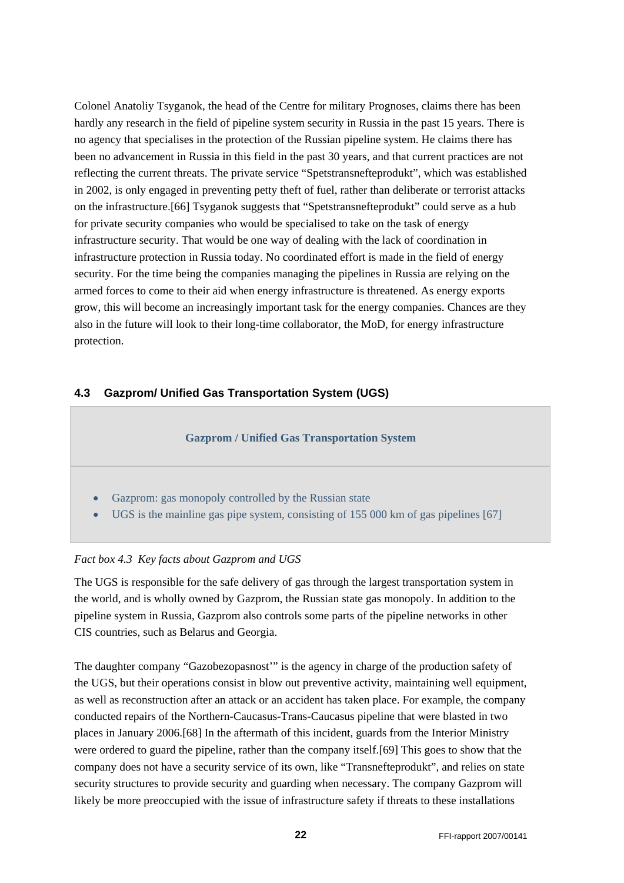<span id="page-21-0"></span>Colonel Anatoliy Tsyganok, the head of the Centre for military Prognoses, claims there has been hardly any research in the field of pipeline system security in Russia in the past 15 years. There is no agency that specialises in the protection of the Russian pipeline system. He claims there has been no advancement in Russia in this field in the past 30 years, and that current practices are not reflecting the current threats. The private service "Spetstransnefteprodukt", which was established in 2002, is only engaged in preventing petty theft of fuel, rather than deliberate or terrorist attacks on the infrastructure.[66] Tsyganok suggests that "Spetstransnefteprodukt" could serve as a hub for private security companies who would be specialised to take on the task of energy infrastructure security. That would be one way of dealing with the lack of coordination in infrastructure protection in Russia today. No coordinated effort is made in the field of energy security. For the time being the companies managing the pipelines in Russia are relying on the armed forces to come to their aid when energy infrastructure is threatened. As energy exports grow, this will become an increasingly important task for the energy companies. Chances are they also in the future will look to their long-time collaborator, the MoD, for energy infrastructure protection.

#### **4.3 Gazprom/ Unified Gas Transportation System (UGS)**



#### *Fact box 4.3 Key facts about Gazprom and UGS*

The UGS is responsible for the safe delivery of gas through the largest transportation system in the world, and is wholly owned by Gazprom, the Russian state gas monopoly. In addition to the pipeline system in Russia, Gazprom also controls some parts of the pipeline networks in other CIS countries, such as Belarus and Georgia.

The daughter company "Gazobezopasnost'" is the agency in charge of the production safety of the UGS, but their operations consist in blow out preventive activity, maintaining well equipment, as well as reconstruction after an attack or an accident has taken place. For example, the company conducted repairs of the Northern-Caucasus-Trans-Caucasus pipeline that were blasted in two places in January 2006.[68] In the aftermath of this incident, guards from the Interior Ministry were ordered to guard the pipeline, rather than the company itself.[69] This goes to show that the company does not have a security service of its own, like "Transnefteprodukt", and relies on state security structures to provide security and guarding when necessary. The company Gazprom will likely be more preoccupied with the issue of infrastructure safety if threats to these installations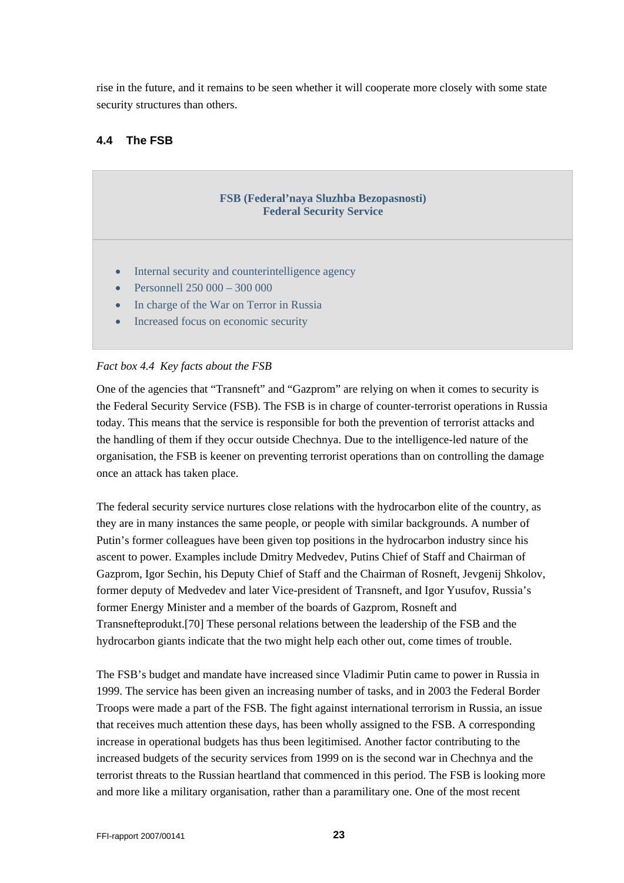<span id="page-22-0"></span>rise in the future, and it remains to be seen whether it will cooperate more closely with some state security structures than others.

## **4.4 The FSB**

# **FSB (Federal'naya Sluzhba Bezopasnosti) Federal Security Service**  • Internal security and counterintelligence agency • Personnell 250 000 – 300 000 In charge of the War on Terror in Russia • Increased focus on economic security

#### *Fact box 4.4 Key facts about the FSB*

One of the agencies that "Transneft" and "Gazprom" are relying on when it comes to security is the Federal Security Service (FSB). The FSB is in charge of counter-terrorist operations in Russia today. This means that the service is responsible for both the prevention of terrorist attacks and the handling of them if they occur outside Chechnya. Due to the intelligence-led nature of the organisation, the FSB is keener on preventing terrorist operations than on controlling the damage once an attack has taken place.

The federal security service nurtures close relations with the hydrocarbon elite of the country, as they are in many instances the same people, or people with similar backgrounds. A number of Putin's former colleagues have been given top positions in the hydrocarbon industry since his ascent to power. Examples include Dmitry Medvedev, Putins Chief of Staff and Chairman of Gazprom, Igor Sechin, his Deputy Chief of Staff and the Chairman of Rosneft, Jevgenij Shkolov, former deputy of Medvedev and later Vice-president of Transneft, and Igor Yusufov, Russia's former Energy Minister and a member of the boards of Gazprom, Rosneft and Transnefteprodukt.[70] These personal relations between the leadership of the FSB and the hydrocarbon giants indicate that the two might help each other out, come times of trouble.

The FSB's budget and mandate have increased since Vladimir Putin came to power in Russia in 1999. The service has been given an increasing number of tasks, and in 2003 the Federal Border Troops were made a part of the FSB. The fight against international terrorism in Russia, an issue that receives much attention these days, has been wholly assigned to the FSB. A corresponding increase in operational budgets has thus been legitimised. Another factor contributing to the increased budgets of the security services from 1999 on is the second war in Chechnya and the terrorist threats to the Russian heartland that commenced in this period. The FSB is looking more and more like a military organisation, rather than a paramilitary one. One of the most recent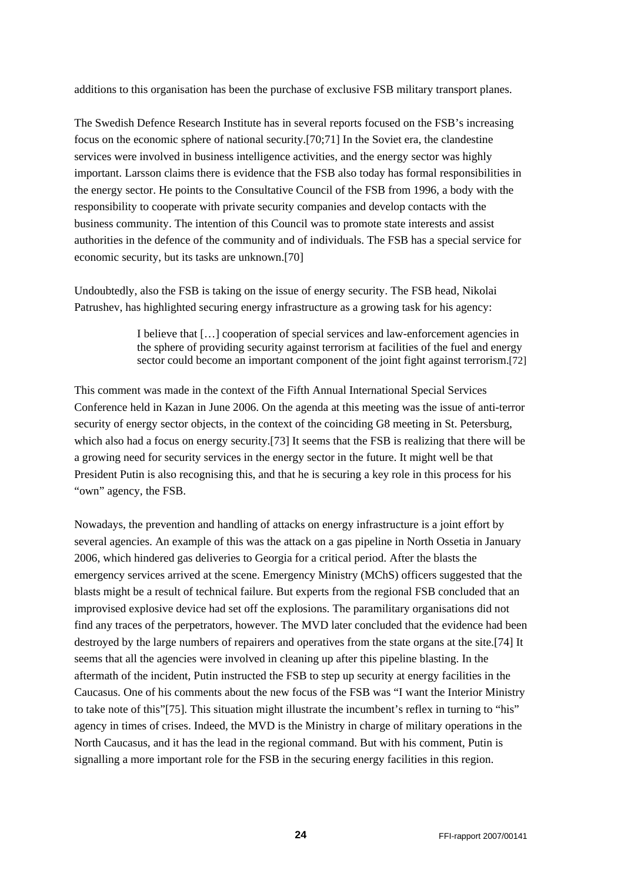additions to this organisation has been the purchase of exclusive FSB military transport planes.

The Swedish Defence Research Institute has in several reports focused on the FSB's increasing focus on the economic sphere of national security.[70;71] In the Soviet era, the clandestine services were involved in business intelligence activities, and the energy sector was highly important. Larsson claims there is evidence that the FSB also today has formal responsibilities in the energy sector. He points to the Consultative Council of the FSB from 1996, a body with the responsibility to cooperate with private security companies and develop contacts with the business community. The intention of this Council was to promote state interests and assist authorities in the defence of the community and of individuals. The FSB has a special service for economic security, but its tasks are unknown.[70]

Undoubtedly, also the FSB is taking on the issue of energy security. The FSB head, Nikolai Patrushev, has highlighted securing energy infrastructure as a growing task for his agency:

> I believe that […] cooperation of special services and law-enforcement agencies in the sphere of providing security against terrorism at facilities of the fuel and energy sector could become an important component of the joint fight against terrorism.[72]

This comment was made in the context of the Fifth Annual International Special Services Conference held in Kazan in June 2006. On the agenda at this meeting was the issue of anti-terror security of energy sector objects, in the context of the coinciding G8 meeting in St. Petersburg, which also had a focus on energy security.<sup>[73]</sup> It seems that the FSB is realizing that there will be a growing need for security services in the energy sector in the future. It might well be that President Putin is also recognising this, and that he is securing a key role in this process for his "own" agency, the FSB.

Nowadays, the prevention and handling of attacks on energy infrastructure is a joint effort by several agencies. An example of this was the attack on a gas pipeline in North Ossetia in January 2006, which hindered gas deliveries to Georgia for a critical period. After the blasts the emergency services arrived at the scene. Emergency Ministry (MChS) officers suggested that the blasts might be a result of technical failure. But experts from the regional FSB concluded that an improvised explosive device had set off the explosions. The paramilitary organisations did not find any traces of the perpetrators, however. The MVD later concluded that the evidence had been destroyed by the large numbers of repairers and operatives from the state organs at the site.[74] It seems that all the agencies were involved in cleaning up after this pipeline blasting. In the aftermath of the incident, Putin instructed the FSB to step up security at energy facilities in the Caucasus. One of his comments about the new focus of the FSB was "I want the Interior Ministry to take note of this"[75]. This situation might illustrate the incumbent's reflex in turning to "his" agency in times of crises. Indeed, the MVD is the Ministry in charge of military operations in the North Caucasus, and it has the lead in the regional command. But with his comment, Putin is signalling a more important role for the FSB in the securing energy facilities in this region.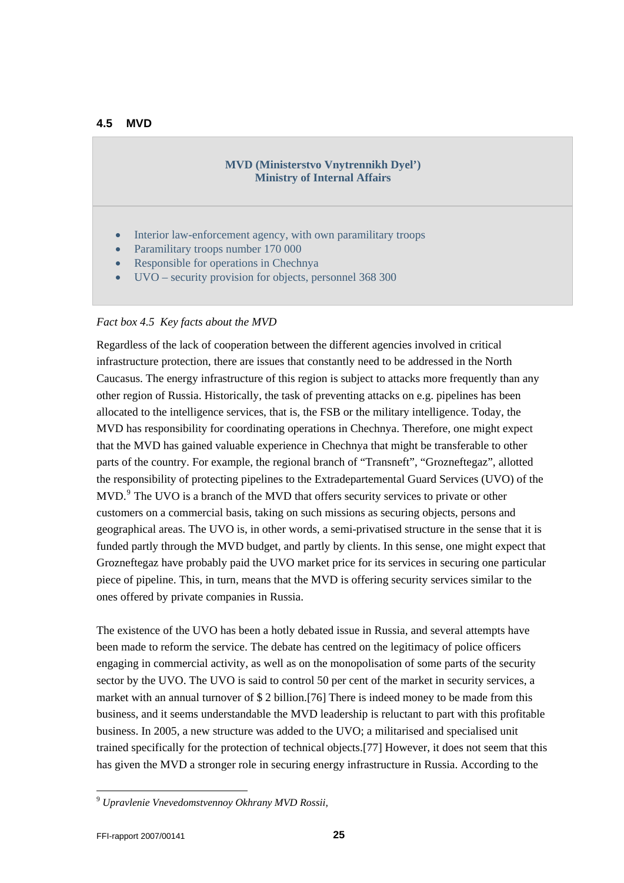#### <span id="page-24-0"></span>**4.5 MVD**

#### **MVD (Ministerstvo Vnytrennikh Dyel') Ministry of Internal Affairs**

- Interior law-enforcement agency, with own paramilitary troops
- Paramilitary troops number 170 000
- Responsible for operations in Chechnya
- UVO security provision for objects, personnel 368 300

#### *Fact box 4.5 Key facts about the MVD*

Regardless of the lack of cooperation between the different agencies involved in critical infrastructure protection, there are issues that constantly need to be addressed in the North Caucasus. The energy infrastructure of this region is subject to attacks more frequently than any other region of Russia. Historically, the task of preventing attacks on e.g. pipelines has been allocated to the intelligence services, that is, the FSB or the military intelligence. Today, the MVD has responsibility for coordinating operations in Chechnya. Therefore, one might expect that the MVD has gained valuable experience in Chechnya that might be transferable to other parts of the country. For example, the regional branch of "Transneft", "Grozneftegaz", allotted the responsibility of protecting pipelines to the Extradepartemental Guard Services (UVO) of the MVD.<sup>[9](#page-24-1)</sup> The UVO is a branch of the MVD that offers security services to private or other customers on a commercial basis, taking on such missions as securing objects, persons and geographical areas. The UVO is, in other words, a semi-privatised structure in the sense that it is funded partly through the MVD budget, and partly by clients. In this sense, one might expect that Grozneftegaz have probably paid the UVO market price for its services in securing one particular piece of pipeline. This, in turn, means that the MVD is offering security services similar to the ones offered by private companies in Russia.

The existence of the UVO has been a hotly debated issue in Russia, and several attempts have been made to reform the service. The debate has centred on the legitimacy of police officers engaging in commercial activity, as well as on the monopolisation of some parts of the security sector by the UVO. The UVO is said to control 50 per cent of the market in security services, a market with an annual turnover of \$ 2 billion.[76] There is indeed money to be made from this business, and it seems understandable the MVD leadership is reluctant to part with this profitable business. In 2005, a new structure was added to the UVO; a militarised and specialised unit trained specifically for the protection of technical objects.[77] However, it does not seem that this has given the MVD a stronger role in securing energy infrastructure in Russia. According to the

l

<span id="page-24-1"></span><sup>9</sup> *Upravlenie Vnevedomstvennoy Okhrany MVD Rossii,*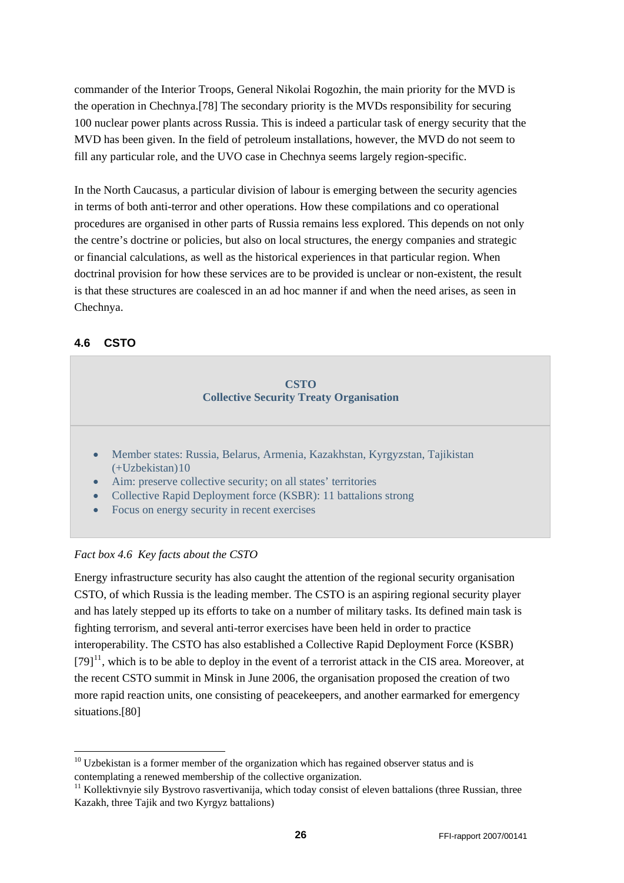<span id="page-25-0"></span>commander of the Interior Troops, General Nikolai Rogozhin, the main priority for the MVD is the operation in Chechnya.[78] The secondary priority is the MVDs responsibility for securing 100 nuclear power plants across Russia. This is indeed a particular task of energy security that the MVD has been given. In the field of petroleum installations, however, the MVD do not seem to fill any particular role, and the UVO case in Chechnya seems largely region-specific.

In the North Caucasus, a particular division of labour is emerging between the security agencies in terms of both anti-terror and other operations. How these compilations and co operational procedures are organised in other parts of Russia remains less explored. This depends on not only the centre's doctrine or policies, but also on local structures, the energy companies and strategic or financial calculations, as well as the historical experiences in that particular region. When doctrinal provision for how these services are to be provided is unclear or non-existent, the result is that these structures are coalesced in an ad hoc manner if and when the need arises, as seen in Chechnya.

## **4.6 CSTO**

-

#### **CSTO Collective Security Treaty Organisation**

- Member states: Russia, Belarus, Armenia, Kazakhstan, Kyrgyzstan, Tajikistan  $(+Uz$ bekistan $)10$  $)10$
- Aim: preserve collective security; on all states' territories
- Collective Rapid Deployment force (KSBR): 11 battalions strong
- Focus on energy security in recent exercises

#### *Fact box 4.6 Key facts about the CSTO*

Energy infrastructure security has also caught the attention of the regional security organisation CSTO, of which Russia is the leading member. The CSTO is an aspiring regional security player and has lately stepped up its efforts to take on a number of military tasks. Its defined main task is fighting terrorism, and several anti-terror exercises have been held in order to practice interoperability. The CSTO has also established a Collective Rapid Deployment Force (KSBR)  $[79]$ <sup>[11](#page-25-2)</sup>, which is to be able to deploy in the event of a terrorist attack in the CIS area. Moreover, at the recent CSTO summit in Minsk in June 2006, the organisation proposed the creation of two more rapid reaction units, one consisting of peacekeepers, and another earmarked for emergency situations.[80]

<span id="page-25-1"></span> $10$  Uzbekistan is a former member of the organization which has regained observer status and is contemplating a renewed membership of the collective organization.

<span id="page-25-2"></span> $11$  Kollektivnyie sily Bystrovo rasvertivanija, which today consist of eleven battalions (three Russian, three Kazakh, three Tajik and two Kyrgyz battalions)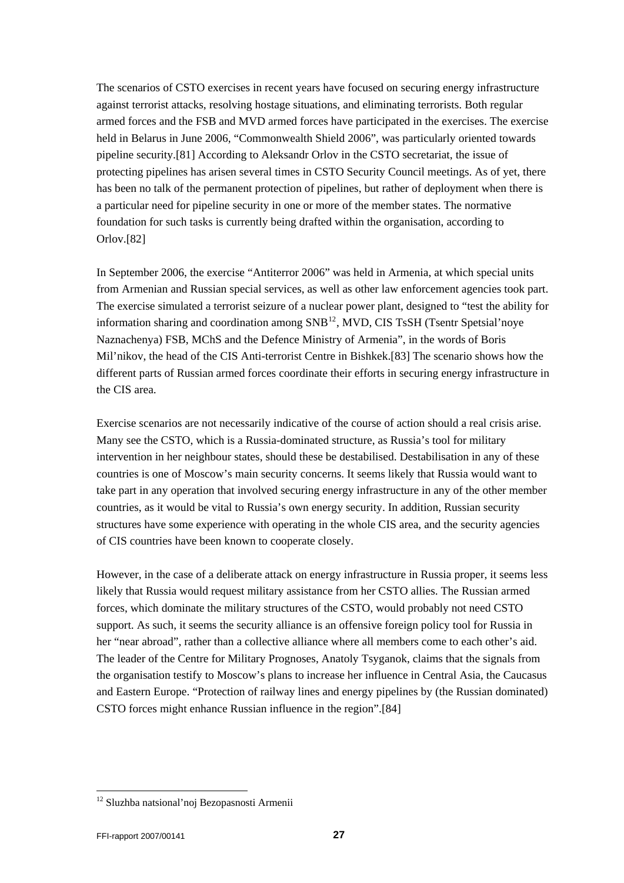The scenarios of CSTO exercises in recent years have focused on securing energy infrastructure against terrorist attacks, resolving hostage situations, and eliminating terrorists. Both regular armed forces and the FSB and MVD armed forces have participated in the exercises. The exercise held in Belarus in June 2006, "Commonwealth Shield 2006", was particularly oriented towards pipeline security.[81] According to Aleksandr Orlov in the CSTO secretariat, the issue of protecting pipelines has arisen several times in CSTO Security Council meetings. As of yet, there has been no talk of the permanent protection of pipelines, but rather of deployment when there is a particular need for pipeline security in one or more of the member states. The normative foundation for such tasks is currently being drafted within the organisation, according to Orlov.[82]

In September 2006, the exercise "Antiterror 2006" was held in Armenia, at which special units from Armenian and Russian special services, as well as other law enforcement agencies took part. The exercise simulated a terrorist seizure of a nuclear power plant, designed to "test the ability for information sharing and coordination among  $SNB<sup>12</sup>$  $SNB<sup>12</sup>$  $SNB<sup>12</sup>$ , MVD, CIS TsSH (Tsentr Spetsial'noye Naznachenya) FSB, MChS and the Defence Ministry of Armenia", in the words of Boris Mil'nikov, the head of the CIS Anti-terrorist Centre in Bishkek.[83] The scenario shows how the different parts of Russian armed forces coordinate their efforts in securing energy infrastructure in the CIS area.

Exercise scenarios are not necessarily indicative of the course of action should a real crisis arise. Many see the CSTO, which is a Russia-dominated structure, as Russia's tool for military intervention in her neighbour states, should these be destabilised. Destabilisation in any of these countries is one of Moscow's main security concerns. It seems likely that Russia would want to take part in any operation that involved securing energy infrastructure in any of the other member countries, as it would be vital to Russia's own energy security. In addition, Russian security structures have some experience with operating in the whole CIS area, and the security agencies of CIS countries have been known to cooperate closely.

However, in the case of a deliberate attack on energy infrastructure in Russia proper, it seems less likely that Russia would request military assistance from her CSTO allies. The Russian armed forces, which dominate the military structures of the CSTO, would probably not need CSTO support. As such, it seems the security alliance is an offensive foreign policy tool for Russia in her "near abroad", rather than a collective alliance where all members come to each other's aid. The leader of the Centre for Military Prognoses, Anatoly Tsyganok, claims that the signals from the organisation testify to Moscow's plans to increase her influence in Central Asia, the Caucasus and Eastern Europe. "Protection of railway lines and energy pipelines by (the Russian dominated) CSTO forces might enhance Russian influence in the region".[84]

l

<span id="page-26-0"></span><sup>12</sup> Sluzhba natsional'noj Bezopasnosti Armenii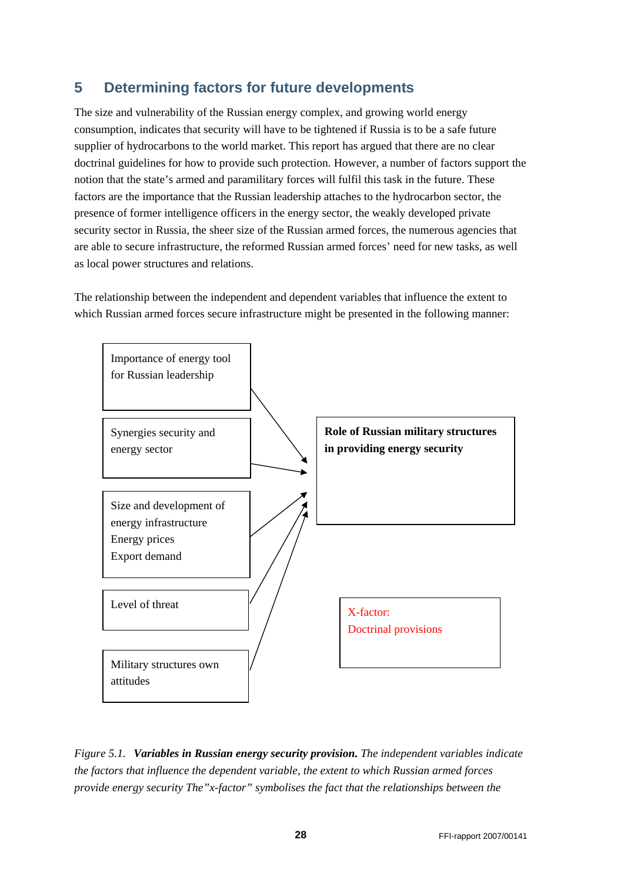# <span id="page-27-0"></span>**5 Determining factors for future developments**

The size and vulnerability of the Russian energy complex, and growing world energy consumption, indicates that security will have to be tightened if Russia is to be a safe future supplier of hydrocarbons to the world market. This report has argued that there are no clear doctrinal guidelines for how to provide such protection. However, a number of factors support the notion that the state's armed and paramilitary forces will fulfil this task in the future. These factors are the importance that the Russian leadership attaches to the hydrocarbon sector, the presence of former intelligence officers in the energy sector, the weakly developed private security sector in Russia, the sheer size of the Russian armed forces, the numerous agencies that are able to secure infrastructure, the reformed Russian armed forces' need for new tasks, as well as local power structures and relations.

The relationship between the independent and dependent variables that influence the extent to which Russian armed forces secure infrastructure might be presented in the following manner:



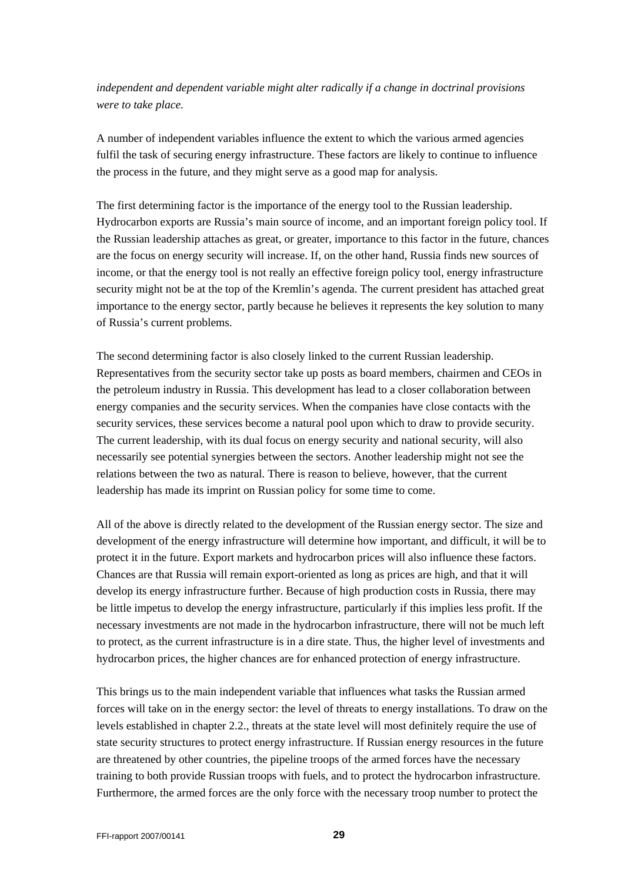*independent and dependent variable might alter radically if a change in doctrinal provisions were to take place.*

A number of independent variables influence the extent to which the various armed agencies fulfil the task of securing energy infrastructure. These factors are likely to continue to influence the process in the future, and they might serve as a good map for analysis.

The first determining factor is the importance of the energy tool to the Russian leadership. Hydrocarbon exports are Russia's main source of income, and an important foreign policy tool. If the Russian leadership attaches as great, or greater, importance to this factor in the future, chances are the focus on energy security will increase. If, on the other hand, Russia finds new sources of income, or that the energy tool is not really an effective foreign policy tool, energy infrastructure security might not be at the top of the Kremlin's agenda. The current president has attached great importance to the energy sector, partly because he believes it represents the key solution to many of Russia's current problems.

The second determining factor is also closely linked to the current Russian leadership. Representatives from the security sector take up posts as board members, chairmen and CEOs in the petroleum industry in Russia. This development has lead to a closer collaboration between energy companies and the security services. When the companies have close contacts with the security services, these services become a natural pool upon which to draw to provide security. The current leadership, with its dual focus on energy security and national security, will also necessarily see potential synergies between the sectors. Another leadership might not see the relations between the two as natural. There is reason to believe, however, that the current leadership has made its imprint on Russian policy for some time to come.

All of the above is directly related to the development of the Russian energy sector. The size and development of the energy infrastructure will determine how important, and difficult, it will be to protect it in the future. Export markets and hydrocarbon prices will also influence these factors. Chances are that Russia will remain export-oriented as long as prices are high, and that it will develop its energy infrastructure further. Because of high production costs in Russia, there may be little impetus to develop the energy infrastructure, particularly if this implies less profit. If the necessary investments are not made in the hydrocarbon infrastructure, there will not be much left to protect, as the current infrastructure is in a dire state. Thus, the higher level of investments and hydrocarbon prices, the higher chances are for enhanced protection of energy infrastructure.

This brings us to the main independent variable that influences what tasks the Russian armed forces will take on in the energy sector: the level of threats to energy installations. To draw on the levels established in chapter 2.2., threats at the state level will most definitely require the use of state security structures to protect energy infrastructure. If Russian energy resources in the future are threatened by other countries, the pipeline troops of the armed forces have the necessary training to both provide Russian troops with fuels, and to protect the hydrocarbon infrastructure. Furthermore, the armed forces are the only force with the necessary troop number to protect the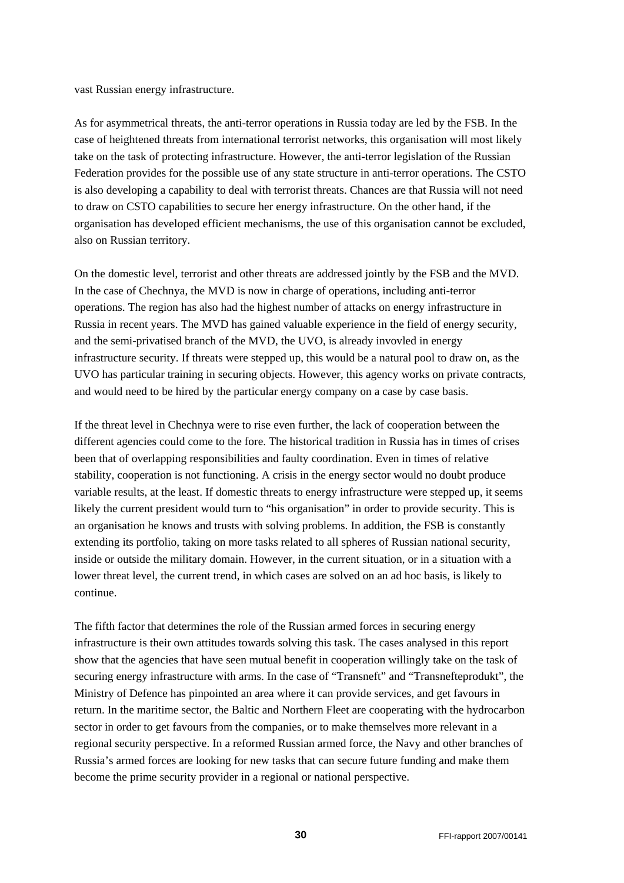vast Russian energy infrastructure.

As for asymmetrical threats, the anti-terror operations in Russia today are led by the FSB. In the case of heightened threats from international terrorist networks, this organisation will most likely take on the task of protecting infrastructure. However, the anti-terror legislation of the Russian Federation provides for the possible use of any state structure in anti-terror operations. The CSTO is also developing a capability to deal with terrorist threats. Chances are that Russia will not need to draw on CSTO capabilities to secure her energy infrastructure. On the other hand, if the organisation has developed efficient mechanisms, the use of this organisation cannot be excluded, also on Russian territory.

On the domestic level, terrorist and other threats are addressed jointly by the FSB and the MVD. In the case of Chechnya, the MVD is now in charge of operations, including anti-terror operations. The region has also had the highest number of attacks on energy infrastructure in Russia in recent years. The MVD has gained valuable experience in the field of energy security, and the semi-privatised branch of the MVD, the UVO, is already invovled in energy infrastructure security. If threats were stepped up, this would be a natural pool to draw on, as the UVO has particular training in securing objects. However, this agency works on private contracts, and would need to be hired by the particular energy company on a case by case basis.

If the threat level in Chechnya were to rise even further, the lack of cooperation between the different agencies could come to the fore. The historical tradition in Russia has in times of crises been that of overlapping responsibilities and faulty coordination. Even in times of relative stability, cooperation is not functioning. A crisis in the energy sector would no doubt produce variable results, at the least. If domestic threats to energy infrastructure were stepped up, it seems likely the current president would turn to "his organisation" in order to provide security. This is an organisation he knows and trusts with solving problems. In addition, the FSB is constantly extending its portfolio, taking on more tasks related to all spheres of Russian national security, inside or outside the military domain. However, in the current situation, or in a situation with a lower threat level, the current trend, in which cases are solved on an ad hoc basis, is likely to continue.

The fifth factor that determines the role of the Russian armed forces in securing energy infrastructure is their own attitudes towards solving this task. The cases analysed in this report show that the agencies that have seen mutual benefit in cooperation willingly take on the task of securing energy infrastructure with arms. In the case of "Transneft" and "Transnefteprodukt", the Ministry of Defence has pinpointed an area where it can provide services, and get favours in return. In the maritime sector, the Baltic and Northern Fleet are cooperating with the hydrocarbon sector in order to get favours from the companies, or to make themselves more relevant in a regional security perspective. In a reformed Russian armed force, the Navy and other branches of Russia's armed forces are looking for new tasks that can secure future funding and make them become the prime security provider in a regional or national perspective.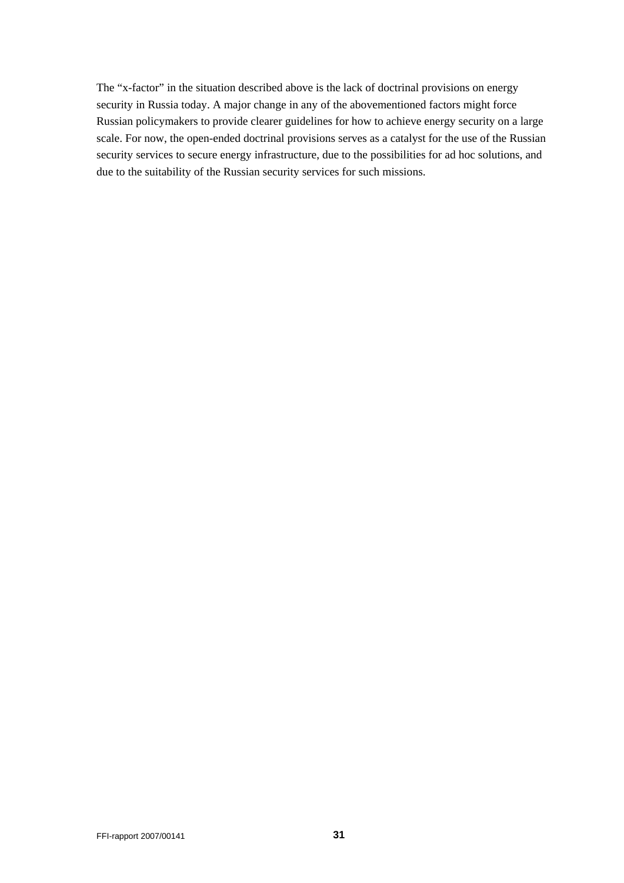The "x-factor" in the situation described above is the lack of doctrinal provisions on energy security in Russia today. A major change in any of the abovementioned factors might force Russian policymakers to provide clearer guidelines for how to achieve energy security on a large scale. For now, the open-ended doctrinal provisions serves as a catalyst for the use of the Russian security services to secure energy infrastructure, due to the possibilities for ad hoc solutions, and due to the suitability of the Russian security services for such missions.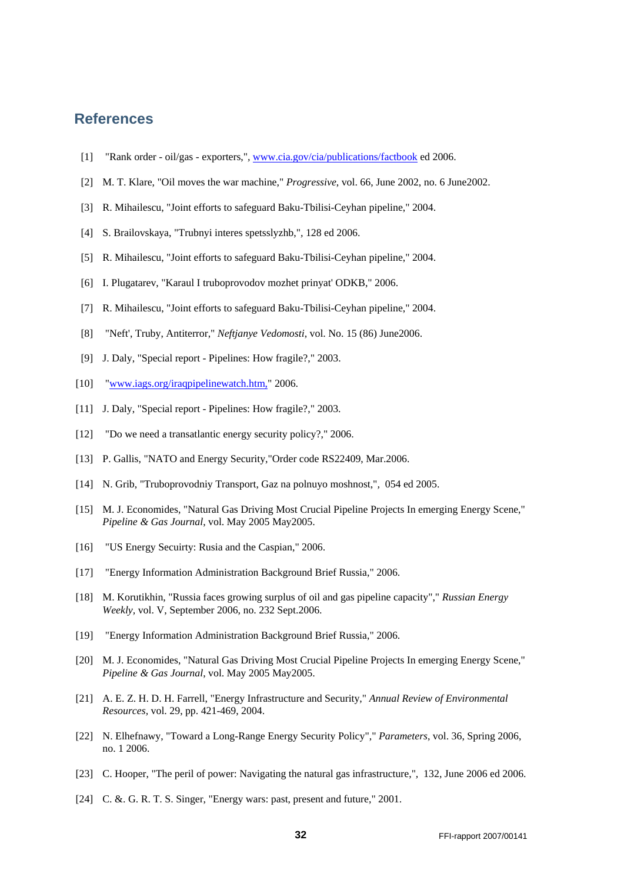## <span id="page-31-0"></span>**References**

- [1] "Rank order oil/gas exporters,"*,* [www.cia.gov/cia/publications/factbook](http://www.cia.gov/cia/publications/factbook) ed 2006.
- [2] M. T. Klare, "Oil moves the war machine," *Progressive*, vol. 66, June 2002, no. 6 June2002.
- [3] R. Mihailescu, "Joint efforts to safeguard Baku-Tbilisi-Ceyhan pipeline," 2004.
- [4] S. Brailovskaya, "Trubnyi interes spetsslyzhb,"*,* 128 ed 2006.
- [5] R. Mihailescu, "Joint efforts to safeguard Baku-Tbilisi-Ceyhan pipeline," 2004.
- [6] I. Plugatarev, "Karaul I truboprovodov mozhet prinyat' ODKB," 2006.
- [7] R. Mihailescu, "Joint efforts to safeguard Baku-Tbilisi-Ceyhan pipeline," 2004.
- [8] "Neft', Truby, Antiterror," *Neftjanye Vedomosti*, vol. No. 15 (86) June2006.
- [9] J. Daly, "Special report Pipelines: How fragile?," 2003.
- [10] "[www.iags.org/iraqpipelinewatch.htm,](http://www.iags.org/iraqpipelinewatch.htm,)" 2006.
- [11] J. Daly, "Special report Pipelines: How fragile?," 2003.
- [12] "Do we need a transatlantic energy security policy?," 2006.
- [13] P. Gallis, "NATO and Energy Security, "Order code RS22409, Mar.2006.
- [14] N. Grib, "Truboprovodniy Transport, Gaz na polnuyo moshnost,"*,* 054 ed 2005.
- [15] M. J. Economides, "Natural Gas Driving Most Crucial Pipeline Projects In emerging Energy Scene," *Pipeline & Gas Journal*, vol. May 2005 May2005.
- [16] "US Energy Secuirty: Rusia and the Caspian," 2006.
- [17] "Energy Information Administration Background Brief Russia," 2006.
- [18] M. Korutikhin, "Russia faces growing surplus of oil and gas pipeline capacity"," *Russian Energy Weekly,* vol. V, September 2006, no. 232 Sept.2006.
- [19] "Energy Information Administration Background Brief Russia," 2006.
- [20] M. J. Economides, "Natural Gas Driving Most Crucial Pipeline Projects In emerging Energy Scene," *Pipeline & Gas Journal*, vol. May 2005 May2005.
- [21] A. E. Z. H. D. H. Farrell, "Energy Infrastructure and Security," *Annual Review of Environmental Resources,* vol. 29, pp. 421-469, 2004.
- [22] N. Elhefnawy, "Toward a Long-Range Energy Security Policy"," *Parameters*, vol. 36, Spring 2006, no. 1 2006.
- [23] C. Hooper, "The peril of power: Navigating the natural gas infrastructure,"*,* 132, June 2006 ed 2006.
- [24] C. &. G. R. T. S. Singer, "Energy wars: past, present and future," 2001.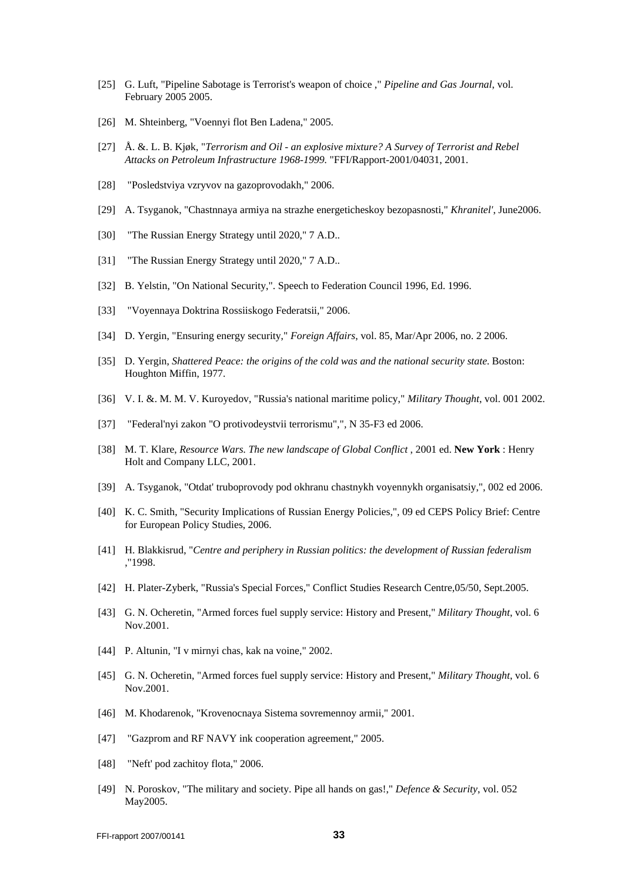- [25] G. Luft, "Pipeline Sabotage is Terrorist's weapon of choice ," *Pipeline and Gas Journal*, vol. February 2005 2005.
- [26] M. Shteinberg, "Voennyi flot Ben Ladena," 2005.
- [27] Å. &. L. B. Kjøk, "*Terrorism and Oil an explosive mixture? A Survey of Terrorist and Rebel Attacks on Petroleum Infrastructure 1968-1999.* "FFI/Rapport-2001/04031, 2001.
- [28] "Posledstviya vzryvov na gazoprovodakh," 2006.
- [29] A. Tsyganok, "Chastnnaya armiya na strazhe energeticheskoy bezopasnosti," *Khranitel'*, June2006.
- [30] "The Russian Energy Strategy until 2020," 7 A.D..
- [31] "The Russian Energy Strategy until 2020," 7 A.D..
- [32] B. Yelstin, "On National Security,". Speech to Federation Council 1996, Ed. 1996.
- [33] "Voyennaya Doktrina Rossiiskogo Federatsii," 2006.
- [34] D. Yergin, "Ensuring energy security," *Foreign Affairs*, vol. 85, Mar/Apr 2006, no. 2 2006.
- [35] D. Yergin, *Shattered Peace: the origins of the cold was and the national security state*. Boston: Houghton Miffin, 1977.
- [36] V. I. &. M. M. V. Kuroyedov, "Russia's national maritime policy," *Military Thought*, vol. 001 2002.
- [37] "Federal'nyi zakon "O protivodeystvii terrorismu","*,* N 35-F3 ed 2006.
- [38] M. T. Klare, *Resource Wars. The new landscape of Global Conflict* , 2001 ed. **New York** : Henry Holt and Company LLC, 2001.
- [39] A. Tsyganok, "Otdat' truboprovody pod okhranu chastnykh voyennykh organisatsiy,"*,* 002 ed 2006.
- [40] K. C. Smith, "Security Implications of Russian Energy Policies,"*,* 09 ed CEPS Policy Brief: Centre for European Policy Studies, 2006.
- [41] H. Blakkisrud, "*Centre and periphery in Russian politics: the development of Russian federalism*  ,"1998.
- [42] H. Plater-Zyberk, "Russia's Special Forces," Conflict Studies Research Centre,05/50, Sept.2005.
- [43] G. N. Ocheretin, "Armed forces fuel supply service: History and Present," *Military Thought*, vol. 6 Nov.2001.
- [44] P. Altunin, "I v mirnyi chas, kak na voine," 2002.
- [45] G. N. Ocheretin, "Armed forces fuel supply service: History and Present," *Military Thought*, vol. 6 Nov.2001.
- [46] M. Khodarenok, "Krovenocnaya Sistema sovremennoy armii," 2001.
- [47] "Gazprom and RF NAVY ink cooperation agreement," 2005.
- [48] "Neft' pod zachitov flota," 2006.
- [49] N. Poroskov, "The military and society. Pipe all hands on gas!," *Defence & Security*, vol. 052 May2005.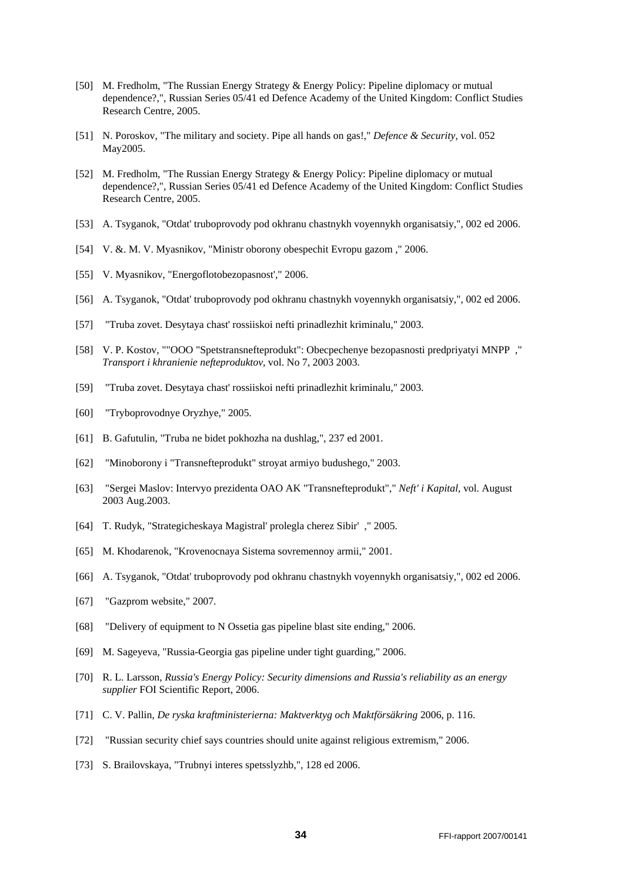- [50] M. Fredholm, "The Russian Energy Strategy & Energy Policy: Pipeline diplomacy or mutual dependence?,"*,* Russian Series 05/41 ed Defence Academy of the United Kingdom: Conflict Studies Research Centre, 2005.
- [51] N. Poroskov, "The military and society. Pipe all hands on gas!," *Defence & Security*, vol. 052 May2005.
- [52] M. Fredholm, "The Russian Energy Strategy & Energy Policy: Pipeline diplomacy or mutual dependence?,"*,* Russian Series 05/41 ed Defence Academy of the United Kingdom: Conflict Studies Research Centre, 2005.
- [53] A. Tsyganok, "Otdat' truboprovody pod okhranu chastnykh voyennykh organisatsiy,"*,* 002 ed 2006.
- [54] V. &. M. V. Myasnikov, "Ministr oborony obespechit Evropu gazom ," 2006.
- [55] V. Myasnikov, "Energoflotobezopasnost'," 2006.
- [56] A. Tsyganok, "Otdat' truboprovody pod okhranu chastnykh voyennykh organisatsiy,"*,* 002 ed 2006.
- [57] "Truba zovet. Desytaya chast' rossiiskoi nefti prinadlezhit kriminalu," 2003.
- [58] V. P. Kostov, ""OOO "Spetstransnefteprodukt": Obecpechenye bezopasnosti predpriyatyi MNPP ," *Transport i khranienie nefteproduktov*, vol. No 7, 2003 2003.
- [59] "Truba zovet. Desytaya chast' rossiiskoi nefti prinadlezhit kriminalu," 2003.
- [60] "Tryboprovodnye Oryzhye," 2005.
- [61] B. Gafutulin, "Truba ne bidet pokhozha na dushlag,"*,* 237 ed 2001.
- [62] "Minoborony i "Transnefteprodukt" stroyat armiyo budushego," 2003.
- [63] "Sergei Maslov: Intervyo prezidenta OAO AK "Transnefteprodukt"," *Neft' i Kapital*, vol. August 2003 Aug.2003.
- [64] T. Rudyk, "Strategicheskaya Magistral' prolegla cherez Sibir' ," 2005.
- [65] M. Khodarenok, "Krovenocnaya Sistema sovremennoy armii," 2001.
- [66] A. Tsyganok, "Otdat' truboprovody pod okhranu chastnykh voyennykh organisatsiy,"*,* 002 ed 2006.
- [67] "Gazprom website," 2007.
- [68] "Delivery of equipment to N Ossetia gas pipeline blast site ending," 2006.
- [69] M. Sageyeva, "Russia-Georgia gas pipeline under tight guarding," 2006.
- [70] R. L. Larsson, *Russia's Energy Policy: Security dimensions and Russia's reliability as an energy supplier* FOI Scientific Report, 2006.
- [71] C. V. Pallin, *De ryska kraftministerierna: Maktverktyg och Maktförsäkring* 2006, p. 116.
- [72] "Russian security chief says countries should unite against religious extremism," 2006.
- [73] S. Brailovskaya, "Trubnyi interes spetsslyzhb,"*,* 128 ed 2006.